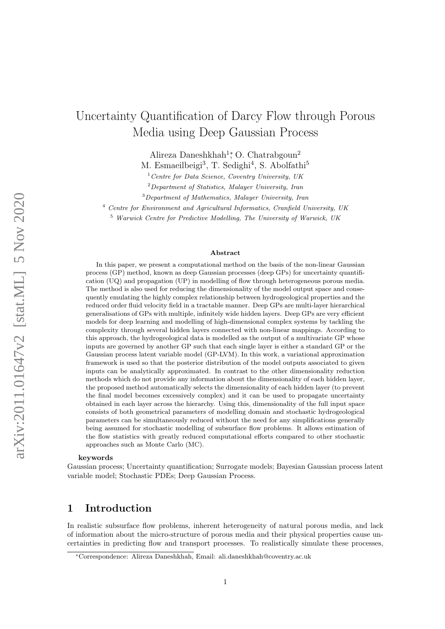# Uncertainty Quantification of Darcy Flow through Porous Media using Deep Gaussian Process

Alireza Daneshkhah<sup>1</sup><sup>\*</sup>, O. Chatrabgoun<sup>2</sup>

M. Esmaeilbeigi<sup>3</sup>, T. Sedighi<sup>4</sup>, S. Abolfathi<sup>5</sup>

 $1$ <sup>1</sup> Centre for Data Science, Coventry University, UK

 $2$  Department of Statistics, Malayer University, Iran

<sup>3</sup>Department of Mathematics, Malayer University, Iran

<sup>4</sup> Centre for Environment and Agricultural Informatics, Cranfield University, UK

<sup>5</sup> Warwick Centre for Predictive Modelling, The University of Warwick, UK

#### Abstract

In this paper, we present a computational method on the basis of the non-linear Gaussian process (GP) method, known as deep Gaussian processes (deep GPs) for uncertainty quantification (UQ) and propagation (UP) in modelling of flow through heterogeneous porous media. The method is also used for reducing the dimensionality of the model output space and consequently emulating the highly complex relationship between hydrogeological properties and the reduced order fluid velocity field in a tractable manner. Deep GPs are multi-layer hierarchical generalisations of GPs with multiple, infinitely wide hidden layers. Deep GPs are very efficient models for deep learning and modelling of high-dimensional complex systems by tackling the complexity through several hidden layers connected with non-linear mappings. According to this approach, the hydrogeological data is modelled as the output of a multivariate GP whose inputs are governed by another GP such that each single layer is either a standard GP or the Gaussian process latent variable model (GP-LVM). In this work, a variational approximation framework is used so that the posterior distribution of the model outputs associated to given inputs can be analytically approximated. In contrast to the other dimensionality reduction methods which do not provide any information about the dimensionality of each hidden layer, the proposed method automatically selects the dimensionality of each hidden layer (to prevent the final model becomes excessively complex) and it can be used to propagate uncertainty obtained in each layer across the hierarchy. Using this, dimensionality of the full input space consists of both geometrical parameters of modelling domain and stochastic hydrogeological parameters can be simultaneously reduced without the need for any simplifications generally being assumed for stochastic modelling of subsurface flow problems. It allows estimation of the flow statistics with greatly reduced computational efforts compared to other stochastic approaches such as Monte Carlo (MC).

#### keywords

Gaussian process; Uncertainty quantification; Surrogate models; Bayesian Gaussian process latent variable model; Stochastic PDEs; Deep Gaussian Process.

# <span id="page-0-0"></span>1 Introduction

In realistic subsurface flow problems, inherent heterogeneity of natural porous media, and lack of information about the micro-structure of porous media and their physical properties cause uncertainties in predicting flow and transport processes. To realistically simulate these processes,

<sup>∗</sup>Correspondence: Alireza Daneshkhah, Email: ali.daneshkhah@coventry.ac.uk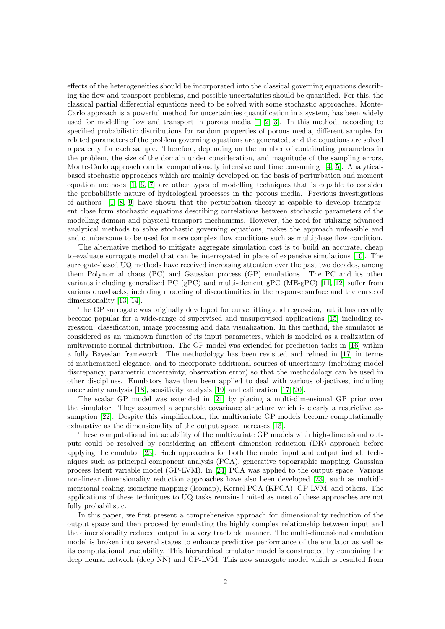effects of the heterogeneities should be incorporated into the classical governing equations describing the flow and transport problems, and possible uncertainties should be quantified. For this, the classical partial differential equations need to be solved with some stochastic approaches. Monte-Carlo approach is a powerful method for uncertainties quantification in a system, has been widely used for modelling flow and transport in porous media [\[1,](#page-24-0) [2,](#page-24-1) [3\]](#page-24-2). In this method, according to specified probabilistic distributions for random properties of porous media, different samples for related parameters of the problem governing equations are generated, and the equations are solved repeatedly for each sample. Therefore, depending on the number of contributing parameters in the problem, the size of the domain under consideration, and magnitude of the sampling errors, Monte-Carlo approach can be computationally intensive and time consuming [\[4,](#page-24-3) [5\]](#page-24-4). Analyticalbased stochastic approaches which are mainly developed on the basis of perturbation and moment equation methods [\[1,](#page-24-0) [6,](#page-24-5) [7\]](#page-24-6) are other types of modelling techniques that is capable to consider the probabilistic nature of hydrological processes in the porous media. Previous investigations of authors [\[1,](#page-24-0) [8,](#page-24-7) [9\]](#page-24-8) have shown that the perturbation theory is capable to develop transparent close form stochastic equations describing correlations between stochastic parameters of the modelling domain and physical transport mechanisms. However, the need for utilizing advanced analytical methods to solve stochastic governing equations, makes the approach unfeasible and and cumbersome to be used for more complex flow conditions such as multiphase flow condition.

The alternative method to mitigate aggregate simulation cost is to build an accurate, cheap to-evaluate surrogate model that can be interrogated in place of expensive simulations [\[10\]](#page-24-9). The surrogate-based UQ methods have received increasing attention over the past two decades, among them Polynomial chaos (PC) and Gaussian process (GP) emulations. The PC and its other variants including generalized PC (gPC) and multi-element gPC (ME-gPC) [\[11,](#page-24-10) [12\]](#page-24-11) suffer from various drawbacks, including modeling of discontinuities in the response surface and the curse of dimensionality [\[13,](#page-24-12) [14\]](#page-24-13).

The GP surrogate was originally developed for curve fitting and regression, but it has recently become popular for a wide-range of supervised and unsupervised applications [\[15\]](#page-24-14) including regression, classification, image processing and data visualization. In this method, the simulator is considered as an unknown function of its input parameters, which is modeled as a realization of multivariate normal distribution. The GP model was extended for prediction tasks in [\[16\]](#page-24-15) within a fully Bayesian framework. The methodology has been revisited and refined in [\[17\]](#page-25-0) in terms of mathematical elegance, and to incorporate additional sources of uncertainty (including model discrepancy, parametric uncertainty, observation error) so that the methodology can be used in other disciplines. Emulators have then been applied to deal with various objectives, including uncertainty analysis [\[18\]](#page-25-1), sensitivity analysis [\[19\]](#page-25-2) and calibration [\[17,](#page-25-0) [20\]](#page-25-3).

The scalar GP model was extended in [\[21\]](#page-25-4) by placing a multi-dimensional GP prior over the simulator. They assumed a separable covariance structure which is clearly a restrictive assumption [\[22\]](#page-25-5). Despite this simplification, the multivariate GP models become computationally exhaustive as the dimensionality of the output space increases [\[13\]](#page-24-12).

These computational intractability of the multivariate GP models with high-dimensional outputs could be resolved by considering an efficient dimension reduction (DR) approach before applying the emulator [\[23\]](#page-25-6). Such approaches for both the model input and output include techniques such as principal component analysis (PCA), generative topographic mapping, Gaussian process latent variable model (GP-LVM). In [\[24\]](#page-25-7) PCA was applied to the output space. Various non-linear dimensionality reduction approaches have also been developed [\[23\]](#page-25-6), such as multidimensional scaling, isometric mapping (Isomap), Kernel PCA (KPCA), GP-LVM, and others. The applications of these techniques to UQ tasks remains limited as most of these approaches are not fully probabilistic.

In this paper, we first present a comprehensive approach for dimensionality reduction of the output space and then proceed by emulating the highly complex relationship between input and the dimensionality reduced output in a very tractable manner. The multi-dimensional emulation model is broken into several stages to enhance predictive performance of the emulator as well as its computational tractability. This hierarchical emulator model is constructed by combining the deep neural network (deep NN) and GP-LVM. This new surrogate model which is resulted from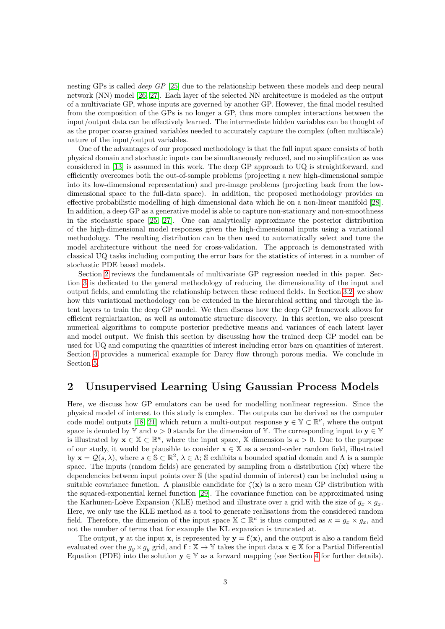nesting GPs is called *deep GP* [\[25\]](#page-25-8) due to the relationship between these models and deep neural network (NN) model [\[26,](#page-25-9) [27\]](#page-25-10). Each layer of the selected NN architecture is modeled as the output of a multivariate GP, whose inputs are governed by another GP. However, the final model resulted from the composition of the GPs is no longer a GP, thus more complex interactions between the input/output data can be effectively learned. The intermediate hidden variables can be thought of as the proper coarse grained variables needed to accurately capture the complex (often multiscale) nature of the input/output variables.

One of the advantages of our proposed methodology is that the full input space consists of both physical domain and stochastic inputs can be simultaneously reduced, and no simplification as was considered in [\[13\]](#page-24-12) is assumed in this work. The deep GP approach to UQ is straightforward, and efficiently overcomes both the out-of-sample problems (projecting a new high-dimensional sample into its low-dimensional representation) and pre-image problems (projecting back from the lowdimensional space to the full-data space). In addition, the proposed methodology provides an effective probabilistic modelling of high dimensional data which lie on a non-linear manifold [\[28\]](#page-25-11). In addition, a deep GP as a generative model is able to capture non-stationary and non-smoothness in the stochastic space [\[25,](#page-25-8) [27\]](#page-25-10). One can analytically approximate the posterior distribution of the high-dimensional model responses given the high-dimensional inputs using a variational methodology. The resulting distribution can be then used to automatically select and tune the model architecture without the need for cross-validation. The approach is demonstrated with classical UQ tasks including computing the error bars for the statistics of interest in a number of stochastic PDE based models.

Section [2](#page-2-0) reviews the fundamentals of multivariate GP regression needed in this paper. Section [3](#page-4-0) is dedicated to the general methodology of reducing the dimensionality of the input and output fields, and emulating the relationship between these reduced fields. In Section [3.2,](#page-7-0) we show how this variational methodology can be extended in the hierarchical setting and through the latent layers to train the deep GP model. We then discuss how the deep GP framework allows for efficient regularization, as well as automatic structure discovery. In this section, we also present numerical algorithms to compute posterior predictive means and variances of each latent layer and model output. We finish this section by discussing how the trained deep GP model can be used for UQ and computing the quantities of interest including error bars on quantities of interest. Section [4](#page-13-0) provides a numerical example for Darcy flow through porous media. We conclude in Section [5.](#page-21-0)

## <span id="page-2-0"></span>2 Unsupervised Learning Using Gaussian Process Models

Here, we discuss how GP emulators can be used for modelling nonlinear regression. Since the physical model of interest to this study is complex. The outputs can be derived as the computer code model outputs [\[18,](#page-25-1) [21\]](#page-25-4) which return a multi-output response  $\mathbf{y} \in \mathbb{Y} \subset \mathbb{R}^{\nu}$ , where the output space is denoted by Y and  $\nu > 0$  stands for the dimension of Y. The corresponding input to  $\mathbf{v} \in \mathbb{Y}$ is illustrated by  $\mathbf{x} \in \mathbb{X} \subset \mathbb{R}^{\kappa}$ , where the input space, X dimension is  $\kappa > 0$ . Due to the purpose of our study, it would be plausible to consider  $\mathbf{x} \in \mathbb{X}$  as a second-order random field, illustrated by  $\mathbf{x} = \mathcal{Q}(s, \lambda)$ , where  $s \in \mathbb{S} \subset \mathbb{R}^2$ ,  $\lambda \in \Lambda$ ; S exhibits a bounded spatial domain and  $\Lambda$  is a sample space. The inputs (random fields) are generated by sampling from a distribution  $\zeta(\mathbf{x})$  where the dependencies between input points over S (the spatial domain of interest) can be included using a suitable covariance function. A plausible candidate for  $\zeta(\mathbf{x})$  is a zero mean GP distribution with the squared-exponential kernel function [\[29\]](#page-25-12). The covariance function can be approximated using the Karhunen-Loève Expansion (KLE) method and illustrate over a grid with the size of  $g_x \times g_x$ . Here, we only use the KLE method as a tool to generate realisations from the considered random field. Therefore, the dimension of the input space  $\mathbb{X} \subset \mathbb{R}^{\kappa}$  is thus computed as  $\kappa = g_x \times g_x$ , and not the number of terms that for example the KL expansion is truncated at.

The output, y at the input x, is represented by  $y = f(x)$ , and the output is also a random field evaluated over the  $g_y \times g_y$  grid, and  $f : \mathbb{X} \to \mathbb{Y}$  takes the input data  $\mathbf{x} \in \mathbb{X}$  for a Partial Differential Equation (PDE) into the solution  $y \in Y$  as a forward mapping (see Section [4](#page-13-0) for further details).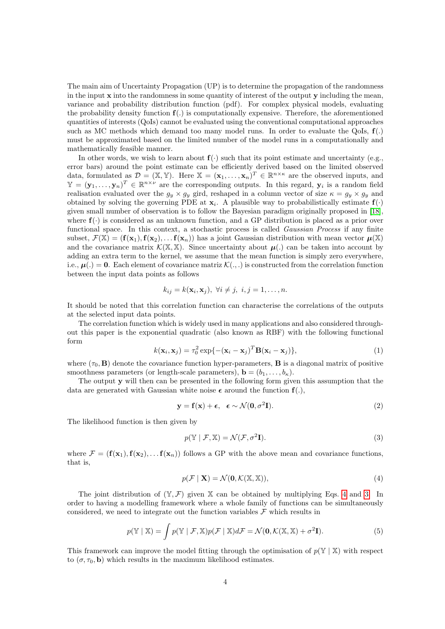The main aim of Uncertainty Propagation (UP) is to determine the propagation of the randomness in the input  $x$  into the randomness in some quantity of interest of the output  $y$  including the mean, variance and probability distribution function (pdf). For complex physical models, evaluating the probability density function  $f(.)$  is computationally expensive. Therefore, the aforementioned quantities of interests (QoIs) cannot be evaluated using the conventional computational approaches such as MC methods which demand too many model runs. In order to evaluate the QoIs,  $f(.)$ must be approximated based on the limited number of the model runs in a computationally and mathematically feasible manner.

In other words, we wish to learn about  $f(\cdot)$  such that its point estimate and uncertainty (e.g., error bars) around the point estimate can be efficiently derived based on the limited observed data, formulated as  $\mathcal{D} = (\mathbb{X}, \mathbb{Y})$ . Here  $\mathbb{X} = (\mathbf{x}_1, \dots, \mathbf{x}_n)^T \in \mathbb{R}^{n \times \kappa}$  are the observed inputs, and  $\mathbb{Y}=(\mathbf{y}_1,\ldots,\mathbf{y}_n)^T\in\mathbb{R}^{n\times \nu}$  are the corresponding outputs. In this regard,  $\mathbf{y}_i$  is a random field realisation evaluated over the  $g_y \times g_y$  gird, reshaped in a column vector of size  $\kappa = g_y \times g_y$  and obtained by solving the governing PDE at  $\mathbf{x}_i$ . A plausible way to probabilistically estimate  $\mathbf{f}(\cdot)$ given small number of observation is to follow the Bayesian paradigm originally proposed in [\[18\]](#page-25-1), where  $f(\cdot)$  is considered as an unknown function, and a GP distribution is placed as a prior over functional space. In this context, a stochastic process is called Gaussian Process if any finite subset,  $\mathcal{F}(\mathbb{X}) = (\mathbf{f}(\mathbf{x}_1), \mathbf{f}(\mathbf{x}_2), \dots, \mathbf{f}(\mathbf{x}_n))$  has a joint Gaussian distribution with mean vector  $\mu(\mathbb{X})$ and the covariance matrix  $\mathcal{K}(\mathbb{X}, \mathbb{X})$ . Since uncertainty about  $\mu(.)$  can be taken into account by adding an extra term to the kernel, we assume that the mean function is simply zero everywhere, i.e.,  $\mu(.) = 0$ . Each element of covariance matriz  $\mathcal{K}(.,.)$  is constructed from the correlation function between the input data points as follows

$$
k_{ij} = k(\mathbf{x}_i, \mathbf{x}_j), \ \forall i \neq j, \ i, j = 1, \dots, n.
$$

It should be noted that this correlation function can characterise the correlations of the outputs at the selected input data points.

The correlation function which is widely used in many applications and also considered throughout this paper is the exponential quadratic (also known as RBF) with the following functional form

$$
k(\mathbf{x}_i, \mathbf{x}_j) = \tau_0^2 \exp\{-(\mathbf{x}_i - \mathbf{x}_j)^T \mathbf{B}(\mathbf{x}_i - \mathbf{x}_j)\},\tag{1}
$$

where  $(\tau_0, \mathbf{B})$  denote the covariance function hyper-parameters, **B** is a diagonal matrix of positive smoothness parameters (or length-scale parameters),  $\mathbf{b} = (b_1, \ldots, b_k)$ .

The output  $\bf{v}$  will then can be presented in the following form given this assumption that the data are generated with Gaussian white noise  $\epsilon$  around the function  $f(.)$ ,

$$
\mathbf{y} = \mathbf{f}(\mathbf{x}) + \boldsymbol{\epsilon}, \quad \boldsymbol{\epsilon} \sim \mathcal{N}(\mathbf{0}, \sigma^2 \mathbf{I}). \tag{2}
$$

The likelihood function is then given by

<span id="page-3-1"></span>
$$
p(\mathbb{Y} \mid \mathcal{F}, \mathbb{X}) = \mathcal{N}(\mathcal{F}, \sigma^2 \mathbf{I}).
$$
\n(3)

where  $\mathcal{F} = (\mathbf{f}(\mathbf{x}_1), \mathbf{f}(\mathbf{x}_2), \dots, \mathbf{f}(\mathbf{x}_n))$  follows a GP with the above mean and covariance functions, that is,

<span id="page-3-0"></span>
$$
p(\mathcal{F} \mid \mathbf{X}) = \mathcal{N}(\mathbf{0}, \mathcal{K}(\mathbb{X}, \mathbb{X})),\tag{4}
$$

The joint distribution of  $(\mathbb{Y}, \mathcal{F})$  given X can be obtained by multiplying Eqs. [4](#page-3-0) and [3.](#page-3-1) In order to having a modelling framework where a whole family of functions can be simultaneously considered, we need to integrate out the function variables  $\mathcal F$  which results in

$$
p(\mathbb{Y} \mid \mathbb{X}) = \int p(\mathbb{Y} \mid \mathcal{F}, \mathbb{X}) p(\mathcal{F} \mid \mathbb{X}) d\mathcal{F} = \mathcal{N}(\mathbf{0}, \mathcal{K}(\mathbb{X}, \mathbb{X}) + \sigma^2 \mathbf{I}). \tag{5}
$$

This framework can improve the model fitting through the optimisation of  $p(\mathbb{Y} \mid \mathbb{X})$  with respect to  $(\sigma, \tau_0, \mathbf{b})$  which results in the maximum likelihood estimates.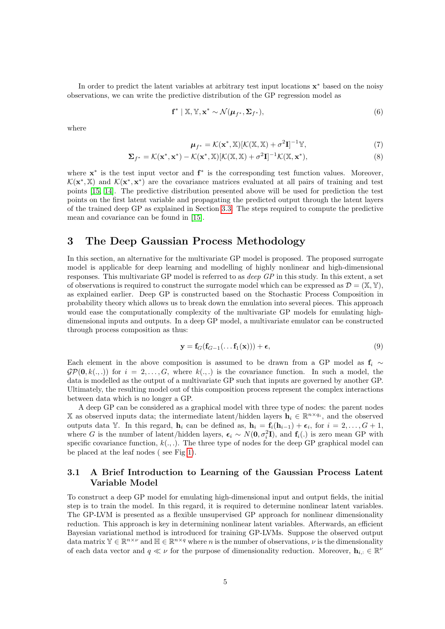In order to predict the latent variables at arbitrary test input locations  $x^*$  based on the noisy observations, we can write the predictive distribution of the GP regression model as

<span id="page-4-4"></span>
$$
\mathbf{f}^* \mid \mathbb{X}, \mathbb{Y}, \mathbf{x}^* \sim \mathcal{N}(\boldsymbol{\mu}_{f^*}, \boldsymbol{\Sigma}_{f^*}),
$$
\n(6)

where

<span id="page-4-3"></span>
$$
\boldsymbol{\mu}_{f^*} = \mathcal{K}(\mathbf{x}^*, \mathbb{X})[\mathcal{K}(\mathbb{X}, \mathbb{X}) + \sigma^2 \mathbf{I}]^{-1} \mathbb{Y},\tag{7}
$$

$$
\Sigma_{f^*} = \mathcal{K}(\mathbf{x}^*, \mathbf{x}^*) - \mathcal{K}(\mathbf{x}^*, \mathbb{X})[\mathcal{K}(\mathbb{X}, \mathbb{X}) + \sigma^2 \mathbf{I}]^{-1} \mathcal{K}(\mathbb{X}, \mathbf{x}^*),
$$
\n(8)

where **x**<sup>\*</sup> is the test input vector and **f**<sup>\*</sup> is the corresponding test function values. Moreover,  $\mathcal{K}(\mathbf{x}^*,\mathbb{X})$  and  $\mathcal{K}(\mathbf{x}^*,\mathbf{x}^*)$  are the covariance matrices evaluated at all pairs of training and test points [\[15,](#page-24-14) [14\]](#page-24-13). The predictive distribution presented above will be used for prediction the test points on the first latent variable and propagating the predicted output through the latent layers of the trained deep GP as explained in Section [3.3.](#page-11-0) The steps required to compute the predictive mean and covariance can be found in [\[15\]](#page-24-14).

## <span id="page-4-0"></span>3 The Deep Gaussian Process Methodology

In this section, an alternative for the multivariate GP model is proposed. The proposed surrogate model is applicable for deep learning and modelling of highly nonlinear and high-dimensional responses. This multivariate GP model is referred to as deep GP in this study. In this extent, a set of observations is required to construct the surrogate model which can be expressed as  $\mathcal{D} = (\mathbb{X}, \mathbb{Y}),$ as explained earlier. Deep GP is constructed based on the Stochastic Process Composition in probability theory which allows us to break down the emulation into several pieces. This approach would ease the computationally complexity of the multivariate GP models for emulating highdimensional inputs and outputs. In a deep GP model, a multivariate emulator can be constructed through process composition as thus:

<span id="page-4-1"></span>
$$
\mathbf{y} = \mathbf{f}_G(\mathbf{f}_{G-1}(\ldots \mathbf{f}_1(\mathbf{x}))) + \boldsymbol{\epsilon},\tag{9}
$$

Each element in the above composition is assumed to be drawn from a GP model as  $f_i \sim$  $\mathcal{GP}(\mathbf{0}, k(.,.))$  for  $i = 2, \ldots, G$ , where  $k(.,.)$  is the covariance function. In such a model, the data is modelled as the output of a multivariate GP such that inputs are governed by another GP. Ultimately, the resulting model out of this composition process represent the complex interactions between data which is no longer a GP.

A deep GP can be considered as a graphical model with three type of nodes: the parent nodes X as observed inputs data; the intermediate latent/hidden layers  $\mathbf{h}_i \in \mathbb{R}^{n \times q_i}$ , and the observed outputs data Y. In this regard,  $\mathbf{h}_i$  can be defined as,  $\mathbf{h}_i = \mathbf{f}_i(\mathbf{h}_{i-1}) + \boldsymbol{\epsilon}_i$ , for  $i = 2, \ldots, G + 1$ , where G is the number of latent/hidden layers,  $\epsilon_i \sim N(0, \sigma_i^2 I)$ , and  $f_i(.)$  is zero mean GP with specific covariance function,  $k(.,.)$ . The three type of nodes for the deep GP graphical model can be placed at the leaf nodes ( see Fig [1\)](#page-8-0).

#### <span id="page-4-2"></span>3.1 A Brief Introduction to Learning of the Gaussian Process Latent Variable Model

To construct a deep GP model for emulating high-dimensional input and output fields, the initial step is to train the model. In this regard, it is required to determine nonlinear latent variables. The GP-LVM is presented as a flexible unsupervised GP approach for nonlinear dimensionality reduction. This approach is key in determining nonlinear latent variables. Afterwards, an efficient Bayesian variational method is introduced for training GP-LVMs. Suppose the observed output data matrix  $\mathbb{Y} \in \mathbb{R}^{n \times \nu}$  and  $\mathbb{H} \in \mathbb{R}^{n \times q}$  where n is the number of observations,  $\nu$  is the dimensionality of each data vector and  $q \ll \nu$  for the purpose of dimensionality reduction. Moreover,  $\mathbf{h}_{i,:} \in \mathbb{R}^{\nu}$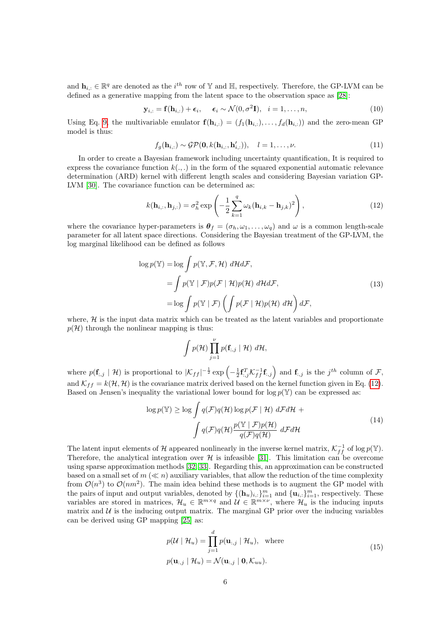and  $\mathbf{h}_{i,:} \in \mathbb{R}^q$  are denoted as the  $i^{th}$  row of Y and H, respectively. Therefore, the GP-LVM can be defined as a generative mapping from the latent space to the observation space as [\[28\]](#page-25-11):

$$
\mathbf{y}_{i,:} = \mathbf{f}(\mathbf{h}_{i,:}) + \boldsymbol{\epsilon}_i, \quad \boldsymbol{\epsilon}_i \sim \mathcal{N}(0, \sigma^2 \mathbf{I}), \quad i = 1, \dots, n,
$$
\n(10)

Using Eq. [9,](#page-4-1) the multivariable emulator  $f(\mathbf{h}_{i,:}) = (f_1(\mathbf{h}_{i,:}), \ldots, f_d(\mathbf{h}_{i,:}))$  and the zero-mean GP model is thus:

$$
f_g(\mathbf{h}_{i,:}) \sim \mathcal{GP}(\mathbf{0}, k(\mathbf{h}_{i,:}, \mathbf{h}'_{i,:})), \quad l = 1, \dots, \nu.
$$
 (11)

In order to create a Bayesian framework including uncertainty quantification, It is required to express the covariance function  $k(.,.)$  in the form of the squared exponential automatic relevance determination (ARD) kernel with different length scales and considering Bayesian variation GP-LVM [\[30\]](#page-25-13). The covariance function can be determined as:

<span id="page-5-0"></span>
$$
k(\mathbf{h}_{i,:}, \mathbf{h}_{j,:}) = \sigma_h^2 \exp\left(-\frac{1}{2} \sum_{k=1}^q \omega_k (\mathbf{h}_{i,k} - \mathbf{h}_{j,k})^2\right),\tag{12}
$$

where the covariance hyper-parameters is  $\theta_f = (\sigma_h, \omega_1, \dots, \omega_q)$  and  $\omega$  is a common length-scale parameter for all latent space directions. Considering the Bayesian treatment of the GP-LVM, the log marginal likelihood can be defined as follows

$$
\log p(\mathbb{Y}) = \log \int p(\mathbb{Y}, \mathcal{F}, \mathcal{H}) \, d\mathcal{H} d\mathcal{F},
$$
\n
$$
= \int p(\mathbb{Y} \mid \mathcal{F}) p(\mathcal{F} \mid \mathcal{H}) p(\mathcal{H}) \, d\mathcal{H} d\mathcal{F},
$$
\n
$$
= \log \int p(\mathbb{Y} \mid \mathcal{F}) \left( \int p(\mathcal{F} \mid \mathcal{H}) p(\mathcal{H}) \, d\mathcal{H} \right) d\mathcal{F},
$$
\n(13)

where,  $H$  is the input data matrix which can be treated as the latent variables and proportionate  $p(\mathcal{H})$  through the nonlinear mapping is thus:

$$
\int p(\mathcal{H}) \prod_{j=1}^{\nu} p(\mathbf{f}_{:,j} | \mathcal{H}) d\mathcal{H},
$$

where  $p(\mathbf{f}_{i,j} | \mathcal{H})$  is proportional to  $|\mathcal{K}_{ff}|^{-\frac{1}{2}} \exp\left(-\frac{1}{2}\mathbf{f}_{i,j}^T \mathcal{K}_{ff}^{-1} \mathbf{f}_{i,j}\right)$  and  $\mathbf{f}_{i,j}$  is the  $j^{th}$  column of  $\mathcal{F}_{i,j}$ , and  $\mathcal{K}_{ff} = k(\mathcal{H}, \mathcal{H})$  is the covariance matrix derived based on the kernel function given in Eq. [\(12\)](#page-5-0). Based on Jensen's inequality the variational lower bound for  $\log p(\mathbb{Y})$  can be expressed as:

$$
\log p(\mathbb{Y}) \ge \log \int q(\mathcal{F})q(\mathcal{H}) \log p(\mathcal{F} \mid \mathcal{H}) \ d\mathcal{F} d\mathcal{H} +
$$
  

$$
\int q(\mathcal{F})q(\mathcal{H}) \frac{p(\mathbb{Y} \mid \mathcal{F})p(\mathcal{H})}{q(\mathcal{F})q(\mathcal{H})} \ d\mathcal{F} d\mathcal{H}
$$
 (14)

The latent input elements of H appeared nonlinearly in the inverse kernel matrix,  $\mathcal{K}_{ff}^{-1}$  of log  $p(\mathbb{Y})$ . Therefore, the analytical integration over  $H$  is infeasible [\[31\]](#page-25-14). This limitation can be overcome using sparse approximation methods [\[32,](#page-25-15) [33\]](#page-25-16). Regarding this, an approximation can be constructed based on a small set of  $m \ll n$ ) auxiliary variables, that allow the reduction of the time complexity from  $\mathcal{O}(n^3)$  to  $\mathcal{O}(nm^2)$ . The main idea behind these methods is to augment the GP model with the pairs of input and output variables, denoted by  $\{(\mathbf{h}_u)_{i,:}\}_{i=1}^m$  and  $\{\mathbf{u}_{i,:}\}_{i=1}^m$ , respectively. These variables are stored in matrices,  $\mathcal{H}_u \in \mathbb{R}^{m \times q}$  and  $\mathcal{U} \in \mathbb{R}^{m \times \nu}$ , where  $\mathcal{H}_u$  is the inducing inputs matrix and  $U$  is the inducing output matrix. The marginal GP prior over the inducing variables can be derived using GP mapping [\[25\]](#page-25-8) as:

<span id="page-5-1"></span>
$$
p(\mathcal{U} \mid \mathcal{H}_u) = \prod_{j=1}^d p(\mathbf{u}_{:,j} \mid \mathcal{H}_u), \text{ where}
$$
  
\n
$$
p(\mathbf{u}_{:,j} \mid \mathcal{H}_u) = \mathcal{N}(\mathbf{u}_{:,j} \mid \mathbf{0}, \mathcal{K}_{uu}).
$$
\n(15)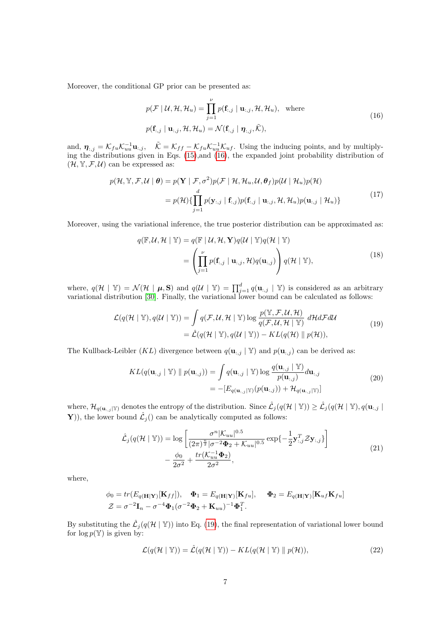Moreover, the conditional GP prior can be presented as:

<span id="page-6-0"></span>
$$
p(\mathcal{F} \mid \mathcal{U}, \mathcal{H}, \mathcal{H}_u) = \prod_{j=1}^{\nu} p(\mathbf{f}_{:,j} \mid \mathbf{u}_{:,j}, \mathcal{H}, \mathcal{H}_u), \text{ where}
$$
  
\n
$$
p(\mathbf{f}_{:,j} \mid \mathbf{u}_{:,j}, \mathcal{H}, \mathcal{H}_u) = \mathcal{N}(\mathbf{f}_{:,j} \mid \mathbf{\eta}_{:,j}, \tilde{\mathcal{K}}),
$$
\n(16)

and,  $\eta_{:,j} = \mathcal{K}_{fu} \mathcal{K}_{uu}^{-1} \mathbf{u}_{:,j}$ ,  $\tilde{\mathcal{K}} = \mathcal{K}_{ff} - \mathcal{K}_{fu} \mathcal{K}_{uu}^{-1} \mathcal{K}_{uf}$ . Using the inducing points, and by multiplying the distributions given in Eqs.  $(15)$ , and  $(16)$ , the expanded joint probability distribution of  $(\mathcal{H}, \mathbb{Y}, \mathcal{F}, \mathcal{U})$  can be expressed as:

$$
p(\mathcal{H}, \mathbb{Y}, \mathcal{F}, \mathcal{U} \mid \boldsymbol{\theta}) = p(\mathbf{Y} \mid \mathcal{F}, \sigma^2) p(\mathcal{F} \mid \mathcal{H}, \mathcal{H}_u, \mathcal{U}, \boldsymbol{\theta}_f) p(\mathcal{U} \mid \mathcal{H}_u) p(\mathcal{H})
$$
  
=  $p(\mathcal{H}) \{ \prod_{j=1}^d p(\mathbf{y}_{:,j} \mid \mathbf{f}_{:,j}) p(\mathbf{f}_{:,j} \mid \mathbf{u}_{:,j}, \mathcal{H}, \mathcal{H}_u) p(\mathbf{u}_{:,j} \mid \mathcal{H}_u) \}$  (17)

Moreover, using the variational inference, the true posterior distribution can be approximated as:

$$
q(\mathbb{F}, \mathcal{U}, \mathcal{H} \mid \mathbb{Y}) = q(\mathbb{F} \mid \mathcal{U}, \mathcal{H}, \mathbf{Y}) q(\mathcal{U} \mid \mathbb{Y}) q(\mathcal{H} \mid \mathbb{Y})
$$
  
= 
$$
\left( \prod_{j=1}^{\nu} p(\mathbf{f}_{:,j} \mid \mathbf{u}_{:,j}, \mathcal{H}) q(\mathbf{u}_{:,j}) \right) q(\mathcal{H} \mid \mathbb{Y}),
$$
 (18)

where,  $q(\mathcal{H} | \mathbb{Y}) = \mathcal{N}(\mathcal{H} | \boldsymbol{\mu}, \mathbf{S})$  and  $q(\mathcal{U} | \mathbb{Y}) = \prod_{j=1}^{d} q(\mathbf{u}_{:,j} | \mathbb{Y})$  is considered as an arbitrary variational distribution [\[30\]](#page-25-13). Finally, the variational lower bound can be calculated as follows:

<span id="page-6-1"></span>
$$
\mathcal{L}(q(\mathcal{H} \mid \mathbb{Y}), q(\mathcal{U} \mid \mathbb{Y})) = \int q(\mathcal{F}, \mathcal{U}, \mathcal{H} \mid \mathbb{Y}) \log \frac{p(\mathbb{Y}, \mathcal{F}, \mathcal{U}, \mathcal{H})}{q(\mathcal{F}, \mathcal{U}, \mathcal{H} \mid \mathbb{Y})} d\mathcal{H} d\mathcal{F} d\mathcal{U}
$$
\n
$$
= \hat{\mathcal{L}}(q(\mathcal{H} \mid \mathbb{Y}), q(\mathcal{U} \mid \mathbb{Y})) - KL(q(\mathcal{H}) \parallel p(\mathcal{H})),
$$
\n(19)

The Kullback-Leibler (KL) divergence between  $q(\mathbf{u}_{:,j} | \mathbb{Y})$  and  $p(\mathbf{u}_{:,j})$  can be derived as:

$$
KL(q(\mathbf{u}_{:,j} \mid \mathbb{Y}) \parallel p(\mathbf{u}_{:,j})) = \int q(\mathbf{u}_{:,j} \mid \mathbb{Y}) \log \frac{q(\mathbf{u}_{:,j} \mid \mathbb{Y})}{p(\mathbf{u}_{:,j})} d\mathbf{u}_{:,j}
$$
  
= -[ $E_{q(\mathbf{u}_{:,j}|\mathbb{Y})}(p(\mathbf{u}_{:,j})) + \mathcal{H}_{q(\mathbf{u}_{:,j}|\mathbb{Y})}]$  (20)

where,  $\mathcal{H}_{q(\mathbf{u}_{:,j}|\mathbb{Y})}$  denotes the entropy of the distribution. Since  $\mathcal{L}_j(q(\mathcal{H} \mid \mathbb{Y})) \ge \mathcal{L}_j(q(\mathcal{H} \mid \mathbb{Y}), q(\mathbf{u}_{:,j} \mid \mathbb{Y}))$ Y), the lower bound  $\hat{\mathcal{L}}_j$  () can be analytically computed as follows:

$$
\hat{\mathcal{L}}_{j}(q(\mathcal{H} \mid \mathbb{Y})) = \log \left[ \frac{\sigma^{n} |K_{uu}|^{0.5}}{(2\pi)^{\frac{n}{2}} |\sigma^{-2} \Phi_2 + K_{uu}|^{0.5}} \exp\{-\frac{1}{2} \mathbf{y}_{:,j}^T \mathcal{Z} \mathbf{y}_{:,j}\} \right] - \frac{\phi_0}{2\sigma^2} + \frac{tr(K_{uu}^{-1} \Phi_2)}{2\sigma^2},
$$
\n(21)

<span id="page-6-3"></span>where,

$$
\phi_0 = tr(E_{q(\mathbf{H}|\mathbf{Y})}[\mathbf{K}_{ff}]), \quad \Phi_1 = E_{q(\mathbf{H}|\mathbf{Y})}[\mathbf{K}_{fu}], \quad \Phi_2 = E_{q(\mathbf{H}|\mathbf{Y})}[\mathbf{K}_{uf}\mathbf{K}_{fu}]
$$
  

$$
\mathcal{Z} = \sigma^{-2}\mathbf{I}_n - \sigma^{-4}\Phi_1(\sigma^{-2}\Phi_2 + \mathbf{K}_{uu})^{-1}\Phi_1^T.
$$

By substituting the  $\mathcal{L}_j(q(\mathcal{H} | \mathbb{Y}))$  into Eq. [\(19\)](#page-6-1), the final representation of variational lower bound for  $\log p(\mathbb{Y})$  is given by:

<span id="page-6-2"></span>
$$
\mathcal{L}(q(\mathcal{H} \mid \mathbb{Y})) = \hat{\mathcal{L}}(q(\mathcal{H} \mid \mathbb{Y})) - KL(q(\mathcal{H} \mid \mathbb{Y}) \parallel p(\mathcal{H})),
$$
\n(22)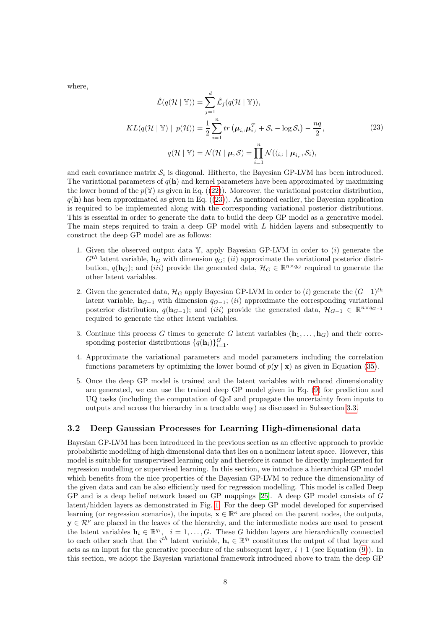where,

<span id="page-7-1"></span>
$$
\hat{\mathcal{L}}(q(\mathcal{H} \mid \mathbb{Y})) = \sum_{j=1}^{d} \hat{\mathcal{L}}_j(q(\mathcal{H} \mid \mathbb{Y})),
$$
\n
$$
KL(q(\mathcal{H} \mid \mathbb{Y}) \parallel p(\mathcal{H})) = \frac{1}{2} \sum_{i=1}^{n} tr \left( \boldsymbol{\mu}_{i,:} \boldsymbol{\mu}_{i,:}^{T} + \mathcal{S}_i - \log \mathcal{S}_i \right) - \frac{nq}{2},
$$
\n
$$
q(\mathcal{H} \mid \mathbb{Y}) = \mathcal{N}(\mathcal{H} \mid \boldsymbol{\mu}, \mathcal{S}) = \prod_{i=1}^{n} \mathcal{N}(\langle \zeta_i, \mid \boldsymbol{\mu}_{i,:}, \mathcal{S}_i),
$$
\n(23)

and each covariance matrix  $S_i$  is diagonal. Hitherto, the Bayesian GP-LVM has been introduced. The variational parameters of  $q(\mathbf{h})$  and kernel parameters have been approximated by maximizing the lower bound of the  $p(\mathbb{Y})$  as given in Eq. ([\(22\)](#page-6-2)). Moreover, the variational posterior distribution,  $q(\mathbf{h})$  has been approximated as given in Eq.  $((23))$  $((23))$  $((23))$ . As mentioned earlier, the Bayesian application is required to be implemented along with the corresponding variational posterior distributions. This is essential in order to generate the data to build the deep GP model as a generative model. The main steps required to train a deep GP model with L hidden layers and subsequently to construct the deep GP model are as follows:

- 1. Given the observed output data  $\mathbb{Y}$ , apply Bayesian GP-LVM in order to  $(i)$  generate the  $G^{th}$  latent variable,  $\mathbf{h}_G$  with dimension  $q_G$ ; (ii) approximate the variational posterior distribution,  $q(\mathbf{h}_G)$ ; and  $(iii)$  provide the generated data,  $\mathcal{H}_G \in \mathbb{R}^{n \times q_G}$  required to generate the other latent variables.
- 2. Given the generated data,  $\mathcal{H}_G$  apply Bayesian GP-LVM in order to (i) generate the  $(G-1)^{th}$ latent variable,  $h_{G-1}$  with dimension  $q_{G-1}$ ; (ii) approximate the corresponding variational posterior distribution,  $q(\mathbf{h}_{G-1})$ ; and  $(iii)$  provide the generated data,  $\mathcal{H}_{G-1} \in \mathbb{R}^{n \times q_{G-1}}$ required to generate the other latent variables.
- 3. Continue this process G times to generate G latent variables  $(h_1, \ldots, h_G)$  and their corresponding posterior distributions  $\{q(\mathbf{h}_i)\}_{i=1}^G$ .
- 4. Approximate the variational parameters and model parameters including the correlation functions parameters by optimizing the lower bound of  $p(y | x)$  as given in Equation [\(35\)](#page-11-1).
- 5. Once the deep GP model is trained and the latent variables with reduced dimensionality are generated, we can use the trained deep GP model given in Eq. [\(9\)](#page-4-1) for prediction and UQ tasks (including the computation of QoI and propagate the uncertainty from inputs to outputs and across the hierarchy in a tractable way) as discussed in Subsection [3.3.](#page-11-0)

#### <span id="page-7-0"></span>3.2 Deep Gaussian Processes for Learning High-dimensional data

Bayesian GP-LVM has been introduced in the previous section as an effective approach to provide probabilistic modelling of high dimensional data that lies on a nonlinear latent space. However, this model is suitable for unsupervised learning only and therefore it cannot be directly implemented for regression modelling or supervised learning. In this section, we introduce a hierarchical GP model which benefits from the nice properties of the Bayesian GP-LVM to reduce the dimensionality of the given data and can be also efficiently used for regression modelling. This model is called Deep GP and is a deep belief network based on GP mappings [\[25\]](#page-25-8). A deep GP model consists of G latent/hidden layers as demonstrated in Fig. [1.](#page-8-0) For the deep GP model developed for supervised learning (or regression scenarios), the inputs,  $\mathbf{x} \in \mathbb{R}^{\kappa}$  are placed on the parent nodes, the outputs,  $y \in \mathcal{R}^{\nu}$  are placed in the leaves of the hierarchy, and the intermediate nodes are used to present the latent variables  $\mathbf{h}_i \in \mathbb{R}^{q_i}$ ,  $i = 1, \ldots, G$ . These G hidden layers are hierarchically connected to each other such that the  $i^{th}$  latent variable,  $\mathbf{h}_i \in \mathbb{R}^{q_i}$  constitutes the output of that layer and acts as an input for the generative procedure of the subsequent layer,  $i + 1$  (see Equation [\(9\)](#page-4-1)). In this section, we adopt the Bayesian variational framework introduced above to train the deep GP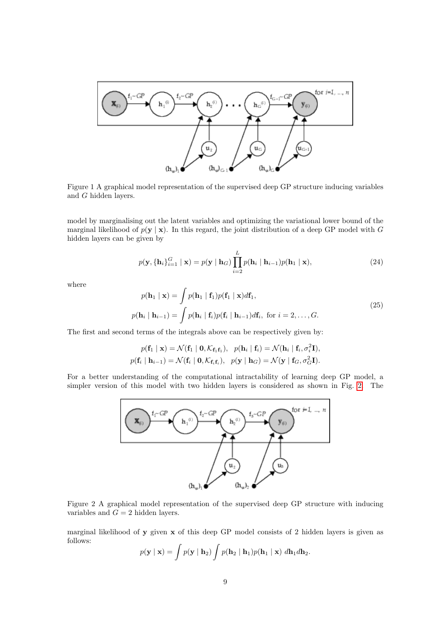<span id="page-8-0"></span>

Figure 1 A graphical model representation of the supervised deep GP structure inducing variables and G hidden layers.

model by marginalising out the latent variables and optimizing the variational lower bound of the marginal likelihood of  $p(y | x)$ . In this regard, the joint distribution of a deep GP model with G hidden layers can be given by

$$
p(\mathbf{y}, \{\mathbf{h}_i\}_{i=1}^G \mid \mathbf{x}) = p(\mathbf{y} \mid \mathbf{h}_G) \prod_{i=2}^L p(\mathbf{h}_i \mid \mathbf{h}_{i-1}) p(\mathbf{h}_1 \mid \mathbf{x}),
$$
\n(24)

where

<span id="page-8-2"></span>
$$
p(\mathbf{h}_1 | \mathbf{x}) = \int p(\mathbf{h}_1 | \mathbf{f}_1) p(\mathbf{f}_1 | \mathbf{x}) d\mathbf{f}_1,
$$
  
\n
$$
p(\mathbf{h}_i | \mathbf{h}_{i-1}) = \int p(\mathbf{h}_i | \mathbf{f}_i) p(\mathbf{f}_i | \mathbf{h}_{i-1}) d\mathbf{f}_i, \text{ for } i = 2, ..., G.
$$
\n(25)

The first and second terms of the integrals above can be respectively given by:

$$
p(\mathbf{f}_1 \mid \mathbf{x}) = \mathcal{N}(\mathbf{f}_1 \mid \mathbf{0}, \mathcal{K}_{\mathbf{f}_1 \mathbf{f}_1}), \quad p(\mathbf{h}_i \mid \mathbf{f}_i) = \mathcal{N}(\mathbf{h}_i \mid \mathbf{f}_i, \sigma_i^2 \mathbf{I}),
$$
  

$$
p(\mathbf{f}_i \mid \mathbf{h}_{i-1}) = \mathcal{N}(\mathbf{f}_i \mid \mathbf{0}, \mathcal{K}_{\mathbf{f}_i \mathbf{f}_i}), \quad p(\mathbf{y} \mid \mathbf{h}_G) = \mathcal{N}(\mathbf{y} \mid \mathbf{f}_G, \sigma_G^2 \mathbf{I}).
$$

<span id="page-8-1"></span>For a better understanding of the computational intractability of learning deep GP model, a simpler version of this model with two hidden layers is considered as shown in Fig. [2.](#page-8-1) The



Figure 2 A graphical model representation of the supervised deep GP structure with inducing variables and  $G = 2$  hidden layers.

marginal likelihood of y given x of this deep GP model consists of 2 hidden layers is given as follows:

$$
p(\mathbf{y} \mid \mathbf{x}) = \int p(\mathbf{y} \mid \mathbf{h}_2) \int p(\mathbf{h}_2 \mid \mathbf{h}_1) p(\mathbf{h}_1 \mid \mathbf{x}) \; d\mathbf{h}_1 d\mathbf{h}_2.
$$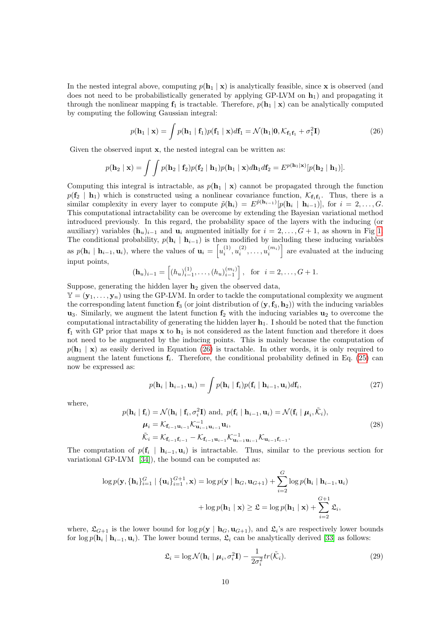In the nested integral above, computing  $p(\mathbf{h}_1 | \mathbf{x})$  is analytically feasible, since **x** is observed (and does not need to be probabilistically generated by applying GP-LVM on  $\mathbf{h}_1$ ) and propagating it through the nonlinear mapping  $f_1$  is tractable. Therefore,  $p(h_1 | x)$  can be analytically computed by computing the following Gaussian integral:

<span id="page-9-0"></span>
$$
p(\mathbf{h}_1 \mid \mathbf{x}) = \int p(\mathbf{h}_1 \mid \mathbf{f}_1) p(\mathbf{f}_1 \mid \mathbf{x}) d\mathbf{f}_1 = \mathcal{N}(\mathbf{h}_1 | \mathbf{0}, \mathcal{K}_{\mathbf{f}_1 \mathbf{f}_1} + \sigma_1^2 \mathbf{I})
$$
(26)

Given the observed input  $x$ , the nested integral can be written as:

$$
p(\mathbf{h}_2 \mid \mathbf{x}) = \int \int p(\mathbf{h}_2 \mid \mathbf{f}_2) p(\mathbf{f}_2 \mid \mathbf{h}_1) p(\mathbf{h}_1 \mid \mathbf{x}) d\mathbf{h}_1 d\mathbf{f}_2 = E^{p(\mathbf{h}_1 \mid \mathbf{x})} [p(\mathbf{h}_2 \mid \mathbf{h}_1)].
$$

Computing this integral is intractable, as  $p(\mathbf{h}_1 | \mathbf{x})$  cannot be propagated through the function  $p(\mathbf{f}_2 \mid \mathbf{h}_1)$  which is constructed using a nonlinear covariance function,  $\mathcal{K}_{\mathbf{f}_1\mathbf{f}_1}$ . Thus, there is a similar complexity in every layer to compute  $\tilde{p}(\mathbf{h}_i) = E^{\tilde{p}(\mathbf{h}_{i-1})}[p(\mathbf{h}_i \mid \mathbf{h}_{i-1})],$  for  $i = 2, \ldots, G$ . This computational intractability can be overcome by extending the Bayesian variational method introduced previously. In this regard, the probability space of the layers with the inducing (or auxiliary) variables  $(\mathbf{h}_u)_{i-1}$  and  $\mathbf{u}_i$  augmented initially for  $i = 2, \ldots, G + 1$ , as shown in Fig [1.](#page-8-0) The conditional probability,  $p(\mathbf{h}_i \mid \mathbf{h}_{i-1})$  is then modified by including these inducing variables as  $p(\mathbf{h}_i \mid \mathbf{h}_{i-1}, \mathbf{u}_i)$ , where the values of  $\mathbf{u}_i = \left[u_i^{(1)}, u_i^{(2)}, \ldots, u_i^{(m_i)}\right]$  are evaluated at the inducing input points,

$$
(\mathbf{h}_u)_{i-1} = \left[ (h_u)_{i-1}^{(1)}, \dots, (h_u)_{i-1}^{(m_i)} \right], \text{ for } i = 2, \dots, G+1.
$$

Suppose, generating the hidden layer  $h_2$  given the observed data,

 $\mathbb{Y} = (\mathbf{y}_1, \dots, \mathbf{y}_n)$  using the GP-LVM. In order to tackle the computational complexity we augment the corresponding latent function  $f_3$  (or joint distribution of  $(y, f_3, h_2)$ ) with the inducing variables  $u_3$ . Similarly, we augment the latent function  $f_2$  with the inducing variables  $u_2$  to overcome the computational intractability of generating the hidden layer  $h_1$ . I should be noted that the function  $f_1$  with GP prior that maps x to  $h_1$  is not considered as the latent function and therefore it does not need to be augmented by the inducing points. This is mainly because the computation of  $p(\mathbf{h}_1 | \mathbf{x})$  as easily derived in Equation [\(26\)](#page-9-0) is tractable. In other words, it is only required to augment the latent functions  $f_i$ . Therefore, the conditional probability defined in Eq. [\(25\)](#page-8-2) can now be expressed as:

$$
p(\mathbf{h}_i \mid \mathbf{h}_{i-1}, \mathbf{u}_i) = \int p(\mathbf{h}_i \mid \mathbf{f}_i) p(\mathbf{f}_i \mid \mathbf{h}_{i-1}, \mathbf{u}_i) d\mathbf{f}_i,
$$
\n(27)

where,

$$
p(\mathbf{h}_{i} \mid \mathbf{f}_{i}) = \mathcal{N}(\mathbf{h}_{i} \mid \mathbf{f}_{i}, \sigma_{i}^{2} \mathbf{I}) \text{ and, } p(\mathbf{f}_{i} \mid \mathbf{h}_{i-1}, \mathbf{u}_{i}) = \mathcal{N}(\mathbf{f}_{i} \mid \boldsymbol{\mu}_{i}, \tilde{\mathcal{K}}_{i}),
$$
  
\n
$$
\boldsymbol{\mu}_{i} = \mathcal{K}_{\mathbf{f}_{i-1}\mathbf{u}_{i-1}} \mathcal{K}_{\mathbf{u}_{i-1}\mathbf{u}_{i-1}}^{-1} \mathbf{u}_{i},
$$
  
\n
$$
\tilde{\mathcal{K}}_{i} = \mathcal{K}_{\mathbf{f}_{i-1}\mathbf{f}_{i-1}} - \mathcal{K}_{\mathbf{f}_{i-1}\mathbf{u}_{i-1}} \mathcal{K}_{\mathbf{u}_{i-1}\mathbf{u}_{i-1}}^{-1} \mathcal{K}_{\mathbf{u}_{i-1}\mathbf{f}_{i-1}}.
$$
\n(28)

The computation of  $p(\mathbf{f}_i \mid \mathbf{h}_{i-1}, \mathbf{u}_i)$  is intractable. Thus, similar to the previous section for variational GP-LVM [\[34\]](#page-25-17)), the bound can be computed as:

$$
\log p(\mathbf{y}, \{\mathbf{h}_i\}_{i=1}^G \mid \{\mathbf{u}_i\}_{i=1}^{G+1}, \mathbf{x}) = \log p(\mathbf{y} \mid \mathbf{h}_G, \mathbf{u}_{G+1}) + \sum_{i=2}^G \log p(\mathbf{h}_i \mid \mathbf{h}_{i-1}, \mathbf{u}_i)
$$

$$
+ \log p(\mathbf{h}_1 \mid \mathbf{x}) \ge \mathfrak{L} = \log p(\mathbf{h}_1 \mid \mathbf{x}) + \sum_{i=2}^{G+1} \mathfrak{L}_i,
$$

<span id="page-9-1"></span>where,  $\mathfrak{L}_{G+1}$  is the lower bound for  $\log p(\mathbf{y} \mid \mathbf{h}_G, \mathbf{u}_{G+1})$ , and  $\mathfrak{L}_i$ 's are respectively lower bounds for  $\log p(\mathbf{h}_i \mid \mathbf{h}_{i-1}, \mathbf{u}_i)$ . The lower bound terms,  $\mathfrak{L}_i$  can be analytically derived [\[33\]](#page-25-16) as follows:

$$
\mathfrak{L}_i = \log \mathcal{N}(\mathbf{h}_i \mid \boldsymbol{\mu}_i, \sigma_i^2 \mathbf{I}) - \frac{1}{2\sigma_i^2} tr(\tilde{\mathcal{K}}_i).
$$
\n(29)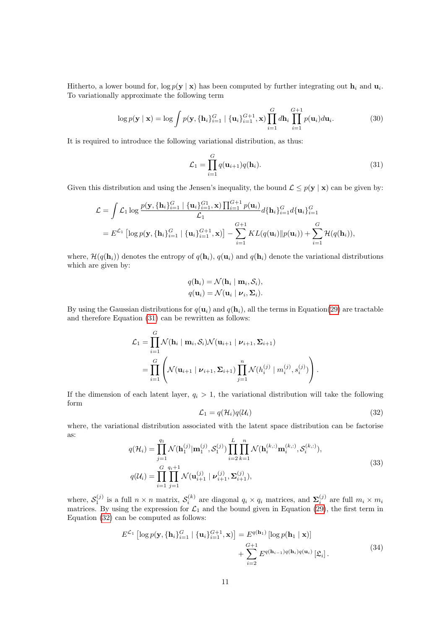Hitherto, a lower bound for,  $\log p(\mathbf{y} \mid \mathbf{x})$  has been computed by further integrating out  $\mathbf{h}_i$  and  $\mathbf{u}_i$ . To variationally approximate the following term

$$
\log p(\mathbf{y} \mid \mathbf{x}) = \log \int p(\mathbf{y}, \{\mathbf{h}_i\}_{i=1}^G \mid \{\mathbf{u}_i\}_{i=1}^{G+1}, \mathbf{x}) \prod_{i=1}^G d\mathbf{h}_i \prod_{i=1}^{G+1} p(\mathbf{u}_i) d\mathbf{u}_i.
$$
 (30)

It is required to introduce the following variational distribution, as thus:

<span id="page-10-0"></span>
$$
\mathcal{L}_1 = \prod_{i=1}^G q(\mathbf{u}_{i+1}) q(\mathbf{h}_i).
$$
\n(31)

<span id="page-10-1"></span>Given this distribution and using the Jensen's inequality, the bound  $\mathcal{L} \leq p(\mathbf{y} \mid \mathbf{x})$  can be given by:

$$
\mathcal{L} = \int \mathcal{L}_1 \log \frac{p(\mathbf{y}, \{\mathbf{h}_i\}_{i=1}^G \mid \{\mathbf{u}_i\}_{i=1}^{G_1}, \mathbf{x}) \prod_{i=1}^{G+1} p(\mathbf{u}_i)}{\mathcal{L}_1} d\{\mathbf{h}_i\}_{i=1}^G d\{\mathbf{u}_i\}_{i=1}^G
$$
\n
$$
= E^{\mathcal{L}_1} \left[ \log p(\mathbf{y}, \{\mathbf{h}_i\}_{i=1}^G \mid \{\mathbf{u}_i\}_{i=1}^{G+1}, \mathbf{x}) \right] - \sum_{i=1}^{G+1} KL(q(\mathbf{u}_i) \| p(\mathbf{u}_i)) + \sum_{i=1}^{G} \mathcal{H}(q(\mathbf{h}_i)),
$$

where,  $\mathcal{H}(q(\mathbf{h}_i))$  denotes the entropy of  $q(\mathbf{h}_i)$ ,  $q(\mathbf{u}_i)$  and  $q(\mathbf{h}_i)$  denote the variational distributions which are given by:

$$
q(\mathbf{h}_i) = \mathcal{N}(\mathbf{h}_i \mid \mathbf{m}_i, \mathcal{S}_i),
$$
  

$$
q(\mathbf{u}_i) = \mathcal{N}(\mathbf{u}_i \mid \mathbf{v}_i, \mathbf{\Sigma}_i).
$$

By using the Gaussian distributions for  $q(\mathbf{u}_i)$  and  $q(\mathbf{h}_i)$ , all the terms in Equation[\(29\)](#page-9-1) are tractable and therefore Equation [\(31\)](#page-10-0) can be rewritten as follows:

$$
\mathcal{L}_1 = \prod_{i=1}^G \mathcal{N}(\mathbf{h}_i \mid \mathbf{m}_i, \mathcal{S}_i) \mathcal{N}(\mathbf{u}_{i+1} \mid \mathbf{\nu}_{i+1}, \mathbf{\Sigma}_{i+1})
$$
  
= 
$$
\prod_{i=1}^G \left( \mathcal{N}(\mathbf{u}_{i+1} \mid \mathbf{\nu}_{i+1}, \mathbf{\Sigma}_{i+1}) \prod_{j=1}^n \mathcal{N}(h_i^{(j)} \mid m_i^{(j)}, s_i^{(j)}) \right).
$$

If the dimension of each latent layer,  $q_i > 1$ , the variational distribution will take the following form

$$
\mathcal{L}_1 = q(\mathcal{H}_i)q(\mathcal{U}_i) \tag{32}
$$

where, the variational distribution associated with the latent space distribution can be factorise as:

$$
q(\mathcal{H}_{i}) = \prod_{j=1}^{q_{1}} \mathcal{N}(\mathbf{h}_{1}^{(j)} | \mathbf{m}_{1}^{(j)}, \mathcal{S}_{1}^{(j)}) \prod_{i=2}^{L} \prod_{k=1}^{n} \mathcal{N}(\mathbf{h}_{i}^{(k,:)} \mathbf{m}_{i}^{(k,:)}, \mathcal{S}_{i}^{(k,:)}),
$$
  
\n
$$
q(\mathcal{U}_{i}) = \prod_{i=1}^{G} \prod_{j=1}^{q_{i}+1} \mathcal{N}(\mathbf{u}_{i+1}^{(j)} | \mathbf{v}_{i+1}^{(j)}, \mathbf{\Sigma}_{i+1}^{(j)}),
$$
\n(33)

<span id="page-10-2"></span>where,  $S_1^{(j)}$  is a full  $n \times n$  matrix,  $S_i^{(k)}$  are diagonal  $q_i \times q_i$  matrices, and  $\Sigma_i^{(j)}$  are full  $m_i \times m_i$ matrices. By using the expression for  $\mathcal{L}_1$  and the bound given in Equation [\(29\)](#page-9-1), the first term in Equation [\(32\)](#page-10-1) can be computed as follows:

$$
E^{\mathcal{L}_1} \left[ \log p(\mathbf{y}, \{\mathbf{h}_i\}_{i=1}^G \mid \{\mathbf{u}_i\}_{i=1}^{G+1}, \mathbf{x}) \right] = E^{q(\mathbf{h}_1)} \left[ \log p(\mathbf{h}_1 \mid \mathbf{x}) \right] + \sum_{i=2}^{G+1} E^{q(\mathbf{h}_{i-1})q(\mathbf{h}_i)q(\mathbf{u}_i)} \left[ \mathfrak{L}_i \right].
$$
\n(34)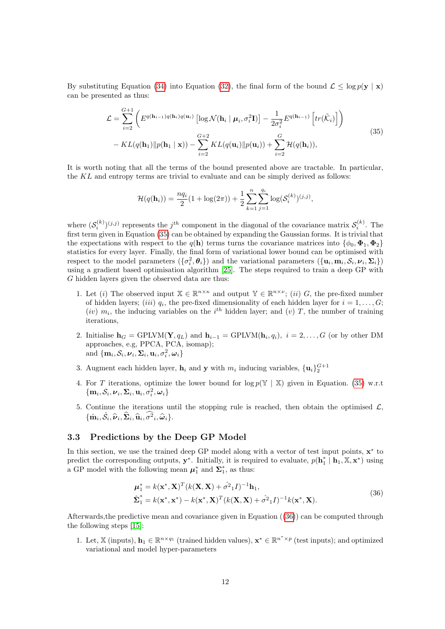By substituting Equation [\(34\)](#page-10-2) into Equation [\(32\)](#page-10-1), the final form of the bound  $\mathcal{L} < \log p(\mathbf{y} \mid \mathbf{x})$ can be presented as thus:

<span id="page-11-1"></span>
$$
\mathcal{L} = \sum_{i=2}^{G+1} \left( E^{q(\mathbf{h}_{i-1})q(\mathbf{h}_i)q(\mathbf{u}_i)} \left[ \log \mathcal{N}(\mathbf{h}_i \mid \boldsymbol{\mu}_i, \sigma_i^2 \mathbf{I}) \right] - \frac{1}{2\sigma_i^2} E^{q(\mathbf{h}_{i-1})} \left[ tr(\tilde{\mathcal{K}}_i) \right] \right)
$$
  
- KL(q(\mathbf{h}\_1) || p(\mathbf{h}\_1 \mid \mathbf{x})) - \sum\_{i=2}^{G+2} KL(q(\mathbf{u}\_i) || p(\mathbf{u}\_i)) + \sum\_{i=2}^{G} \mathcal{H}(q(\mathbf{h}\_i)), \tag{35}

It is worth noting that all the terms of the bound presented above are tractable. In particular, the KL and entropy terms are trivial to evaluate and can be simply derived as follows:

$$
\mathcal{H}(q(\mathbf{h}_i)) = \frac{nq_i}{2}(1 + \log(2\pi)) + \frac{1}{2}\sum_{k=1}^n \sum_{j=1}^{q_i} \log(\mathcal{S}_i^{(k)})^{(j,j)},
$$

where  $(\mathcal{S}_i^{(k)})^{(j,j)}$  represents the  $j^{th}$  component in the diagonal of the covariance matrix  $\mathcal{S}_i^{(k)}$ . The first term given in Equation [\(35\)](#page-11-1) can be obtained by expanding the Gaussian forms. It is trivial that the expectations with respect to the  $q(\mathbf{h})$  terms turns the covariance matrices into  $\{\phi_0, \Phi_1, \Phi_2\}$ statistics for every layer. Finally, the final form of variational lower bound can be optimised with respect to the model parameters  $(\{\sigma_i^2, \theta_i\})$  and the variational parameters  $(\{\mathbf{u}_i, \mathbf{m}_i, \mathcal{S}_i, \nu_i, \mathbf{\Sigma}_i\})$ using a gradient based optimisation algorithm [\[25\]](#page-25-8). The steps required to train a deep GP with G hidden layers given the observed data are thus:

- 1. Let (i) The observed input  $X \in \mathbb{R}^{n \times \kappa}$  and output  $Y \in \mathbb{R}^{n \times \nu}$ ; (ii) G, the pre-fixed number of hidden layers; *(iii)*  $q_i$ , the pre-fixed dimensionality of each hidden layer for  $i = 1, \ldots, G$ ; (iv)  $m_i$ , the inducing variables on the i<sup>th</sup> hidden layer; and (v) T, the number of training iterations,
- 2. Initialise  $\mathbf{h}_G = \text{GPLVM}(\mathbf{Y}, q_L)$  and  $\mathbf{h}_{i-1} = \text{GPLVM}(\mathbf{h}_i, q_i), i = 2, \ldots, G$  (or by other DM approaches, e.g, PPCA, PCA, isomap); and  $\{\mathbf{m}_i, \mathcal{S}_i, \boldsymbol{\nu}_i, \boldsymbol{\Sigma}_i, \mathbf{u}_i, \sigma_i^2, \boldsymbol{\omega}_i\}$
- 3. Augment each hidden layer,  $\mathbf{h}_i$  and y with  $m_i$  inducing variables,  $\{\mathbf{u}_i\}_2^{G+1}$
- 4. For T iterations, optimize the lower bound for  $\log p(\mathbb{Y} | \mathbb{X})$  given in Equation. [\(35\)](#page-11-1) w.r.t.  $\left\{\mathbf{m}_i, \mathcal{S}_i, \boldsymbol{\nu}_i, \boldsymbol{\Sigma}_i, \mathbf{u}_i, \sigma_i^2, \boldsymbol{\omega}_i\right\}$
- 5. Continue the iterations until the stopping rule is reached, then obtain the optimised  $\mathcal{L}$ ,  $\{\hat{\mathbf{m}}_i, \hat{\mathcal{S}}_i, \hat{\boldsymbol{\nu}}_i, \widehat{\boldsymbol{\Sigma}}_i, \widehat{\mathbf{u}}_i, \widehat{\sigma^2}_i, \widehat{\boldsymbol{\omega}}_i\}.$

#### <span id="page-11-0"></span>3.3 Predictions by the Deep GP Model

In this section, we use the trained deep GP model along with a vector of test input points,  $x^*$  to predict the corresponding outputs,  $\mathbf{y}^*$ . Initially, it is required to evaluate,  $p(\mathbf{h}_1^* | \mathbf{h}_1, \mathbb{X}, \mathbf{x}^*)$  using a GP model with the following mean  $\mu_1^*$  and  $\Sigma_1^*$ , as thus:

<span id="page-11-2"></span>
$$
\boldsymbol{\mu}_{1}^{*} = k(\mathbf{x}^{*}, \mathbf{X})^{T} (k(\mathbf{X}, \mathbf{X}) + \hat{\sigma}^{2} \mathbf{1} I)^{-1} \mathbf{h}_{1},
$$
\n
$$
\hat{\boldsymbol{\Sigma}}_{1}^{*} = k(\mathbf{x}^{*}, \mathbf{x}^{*}) - k(\mathbf{x}^{*}, \mathbf{X})^{T} (k(\mathbf{X}, \mathbf{X}) + \hat{\sigma}^{2} \mathbf{1} I)^{-1} k(\mathbf{x}^{*}, \mathbf{X}).
$$
\n(36)

Afterwards,the predictive mean and covariance given in Equation ([\(36\)](#page-11-2)) can be computed through the following steps [\[15\]](#page-24-14):

1. Let, X (inputs),  $\mathbf{h}_1 \in \mathbb{R}^{n \times q_1}$  (trained hidden values),  $\mathbf{x}^* \in \mathbb{R}^{n^* \times p}$  (test inputs); and optimized variational and model hyper-parameters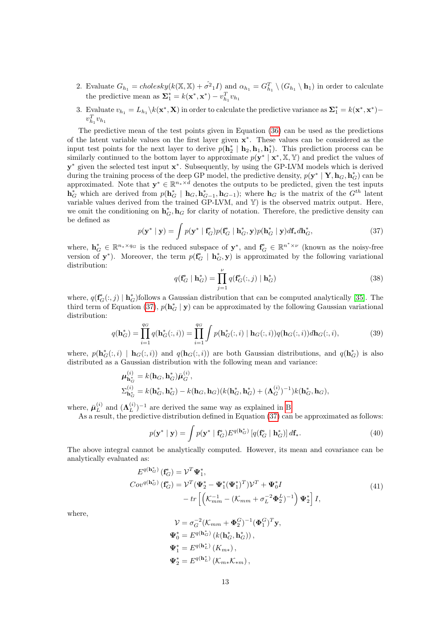- 2. Evaluate  $G_{h_1} = \text{cholesky}(k(\mathbb{X}, \mathbb{X}) + \hat{\sigma}^2 \cdot I)$  and  $\alpha_{h_1} = G_{h_1}^T \setminus (G_{h_1} \setminus \mathbf{h}_1)$  in order to calculate the predictive mean as  $\Sigma_1^* = k(\mathbf{x}^*, \mathbf{x}^*) - v_{h_1}^T v_{h_1}$
- 3. Evaluate  $v_{h_1} = L_{h_1} \setminus k(\mathbf{x}^*, \mathbf{X})$  in order to calculate the predictive variance as  $\mathbf{\Sigma}_1^* = k(\mathbf{x}^*, \mathbf{x}^*)$  $v_{h_1}^Tv_{h_1}$

The predictive mean of the test points given in Equation [\(36\)](#page-11-2) can be used as the predictions of the latent variable values on the first layer given  $x^*$ . These values can be considered as the input test points for the next layer to derive  $p(\mathbf{h}_2^* | \mathbf{h}_2, \mathbf{h}_1, \mathbf{h}_1^*)$ . This prediction process can be similarly continued to the bottom layer to approximate  $p(\mathbf{y}^* | \mathbf{x}^*, X, Y)$  and predict the values of y<sup>\*</sup> given the selected test input  $\mathbf{x}^*$ . Subsequently, by using the GP-LVM models which is derived during the training process of the deep GP model, the predictive density,  $p(\mathbf{y}^* | \mathbf{Y}, \mathbf{h}_G, \mathbf{h}_G^*)$  can be approximated. Note that  $\mathbf{y}^* \in \mathbb{R}^{n_* \times d}$  denotes the outputs to be predicted, given the test inputs  $\mathbf{h}_G^*$  which are derived from  $p(\mathbf{h}_G^* | \mathbf{h}_G, \mathbf{h}_{G-1}^*, \mathbf{h}_{G-1})$ ; where  $\mathbf{h}_G$  is the matrix of the  $G^{th}$  latent variable values derived from the trained GP-LVM, and Y) is the observed matrix output. Here, we omit the conditioning on  $h_G^*$ ,  $h_G$  for clarity of notation. Therefore, the predictive density can be defined as

<span id="page-12-0"></span>
$$
p(\mathbf{y}^* \mid \mathbf{y}) = \int p(\mathbf{y}^* \mid \mathbf{f}_G^*) p(\mathbf{f}_G^* \mid \mathbf{h}_G^*, \mathbf{y}) p(\mathbf{h}_G^* \mid \mathbf{y}) d\mathbf{f}_* d\mathbf{h}_G^*,
$$
\n(37)

where,  $\mathbf{h}_{G}^{*} \in \mathbb{R}^{n_{*} \times q_{G}}$  is the reduced subspace of  $\mathbf{y}^{*}$ , and  $\mathbf{f}_{G}^{*} \in \mathbb{R}^{n^{*} \times \nu}$  (known as the noisy-free version of  $y^*$ ). Moreover, the term  $p(f_G^* | h_G^*, y)$  is approximated by the following variational distribution:

$$
q(\mathbf{f}_G^* \mid \mathbf{h}_G^*) = \prod_{j=1}^{\nu} q(\mathbf{f}_G^*(:,j) \mid \mathbf{h}_G^*)
$$
\n(38)

where,  $q(\mathbf{f}_G^*(:,j) | \mathbf{h}_G^*)$  follows a Gaussian distribution that can be computed analytically [\[35\]](#page-25-18). The third term of Equation [\(37\)](#page-12-0),  $p(\mathbf{h}_{G}^{*} | \mathbf{y})$  can be approximated by the following Gaussian variational distribution:

$$
q(\mathbf{h}_{G}^{*}) = \prod_{i=1}^{q_{G}} q(\mathbf{h}_{G}^{*}(:,i)) = \prod_{i=1}^{q_{G}} \int p(\mathbf{h}_{G}^{*}(:,i) | \mathbf{h}_{G}(:,i)) q(\mathbf{h}_{G}(:,i)) d\mathbf{h}_{G}(:,i),
$$
(39)

where,  $p(\mathbf{h}_G^*(:,i) | \mathbf{h}_G(:,i))$  and  $q(\mathbf{h}_G(:,i))$  are both Gaussian distributions, and  $q(\mathbf{h}_G^*)$  is also distributed as a Gaussian distribution with the following mean and variance:

$$
\mu_{\mathbf{h}_{G}^{*}}^{(i)} = k(\mathbf{h}_{G}, \mathbf{h}_{G}^{*})\bar{\mu}_{G}^{(i)},
$$
  
\n
$$
\Sigma_{\mathbf{h}_{G}^{*}}^{(i)} = k(\mathbf{h}_{G}^{*}, \mathbf{h}_{G}^{*}) - k(\mathbf{h}_{G}, \mathbf{h}_{G})(k(\mathbf{h}_{G}^{*}, \mathbf{h}_{G}^{*}) + (\mathbf{\Lambda}_{G}^{(i)})^{-1})k(\mathbf{h}_{G}^{*}, \mathbf{h}_{G}),
$$

where,  $\bar{\boldsymbol{\mu}}_L^{(i)}$  $_{L}^{\left( i\right) }$  and  $(\boldsymbol{\Lambda}_{L}^{\left( i\right) }$  $\binom{(i)}{L}$ <sup>-1</sup> are derived the same way as explained in [B.](#page-22-0)

As a result, the predictive distribution defined in Equation [\(37\)](#page-12-0) can be approximated as follows:

$$
p(\mathbf{y}^* \mid \mathbf{y}) = \int p(\mathbf{y}^* \mid \mathbf{f}_G^*) E^{q(\mathbf{h}_G^*)} \left[ q(\mathbf{f}_G^* \mid \mathbf{h}_G^*) \right] d\mathbf{f}_*.
$$
 (40)

The above integral cannot be analytically computed. However, its mean and covariance can be analytically evaluated as:

$$
E^{q(\mathbf{h}_{G}^{*})}(\mathbf{f}_{G}^{*}) = \mathcal{V}^{T} \mathbf{\Psi}_{1}^{*},
$$
  
\n
$$
Cov^{q(\mathbf{h}_{G}^{*})}(\mathbf{f}_{G}^{*}) = \mathcal{V}^{T} (\mathbf{\Psi}_{2}^{*} - \mathbf{\Psi}_{1}^{*} (\mathbf{\Psi}_{1}^{*})^{T}) \mathcal{V}^{T} + \mathbf{\Psi}_{0}^{*} I
$$
  
\n
$$
- tr \left[ \left( \mathcal{K}_{mm}^{-1} - (\mathcal{K}_{mm} + \sigma_{L}^{-2} \mathbf{\Phi}_{2}^{L})^{-1} \right) \mathbf{\Psi}_{2}^{*} \right] I,
$$
\n(41)

where,

<span id="page-12-1"></span>
$$
\mathcal{V} = \sigma_G^{-2} (\mathcal{K}_{mm} + \mathbf{\Phi}_2^G)^{-1} (\mathbf{\Phi}_1^G)^T \mathbf{y},
$$
  

$$
\mathbf{\Psi}_0^* = E^{q(\mathbf{h}_\sigma^*)} (k(\mathbf{h}_G^*, \mathbf{h}_G^*)) ,
$$
  

$$
\mathbf{\Psi}_1^* = E^{q(\mathbf{h}_L^*)} (K_{m*}),
$$
  

$$
\mathbf{\Psi}_2^* = E^{q(\mathbf{h}_L^*)} (\mathcal{K}_{m*} \mathcal{K}_{*m}) ,
$$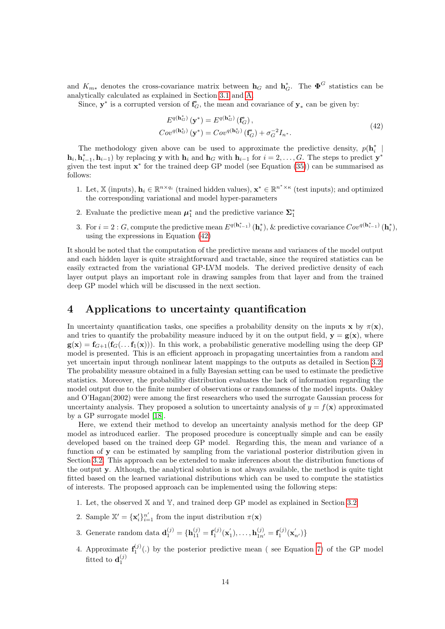and  $K_{m*}$  denotes the cross-covariance matrix between  $\mathbf{h}_G$  and  $\mathbf{h}_G^*$ . The  $\mathbf{\Phi}^G$  statistics can be analytically calculated as explained in Section [3.1](#page-4-2) and [A.](#page-22-1)

Since,  $y^*$  is a corrupted version of  $f_G^*$ , the mean and covariance of  $y_*$  can be given by:

$$
E^{q(\mathbf{h}_{G}^{*})}(\mathbf{y}^{*}) = E^{q(\mathbf{h}_{G}^{*})}(\mathbf{f}_{G}^{*}),
$$
  
\n
$$
Cov^{q(\mathbf{h}_{G}^{*})}(\mathbf{y}^{*}) = Cov^{q(\mathbf{h}_{G}^{*})}(\mathbf{f}_{G}^{*}) + \sigma_{G}^{-2}I_{n^{*}}.
$$
\n(42)

The methodology given above can be used to approximate the predictive density,  $p(\mathbf{h}_i^* | \mathbf{h}_i)$  $\mathbf{h}_i, \mathbf{h}_{i-1}^*, \mathbf{h}_{i-1}$  by replacing y with  $\mathbf{h}_i$  and  $\mathbf{h}_G$  with  $\mathbf{h}_{i-1}$  for  $i = 2, \ldots, G$ . The steps to predict  $\mathbf{y}^*$ given the test input  $x^*$  for the trained deep GP model (see Equation  $(35)$ ) can be summarised as follows:

- 1. Let, X (inputs),  $\mathbf{h}_i \in \mathbb{R}^{n \times q_i}$  (trained hidden values),  $\mathbf{x}^* \in \mathbb{R}^{n^* \times \kappa}$  (test inputs); and optimized the corresponding variational and model hyper-parameters
- 2. Evaluate the predictive mean  $\mu_1^*$  and the predictive variance  $\Sigma_1^*$
- 3. For  $i = 2 : G$ , compute the predictive mean  $E^{q(\mathbf{h}_{i-1}^*)}(\mathbf{h}_i^*)$ , & predictive covariance  $Cov^{q(\mathbf{h}_{i-1}^*)}(\mathbf{h}_i^*)$ , using the expressions in Equation [\(42\)](#page-12-1)

It should be noted that the computation of the predictive means and variances of the model output and each hidden layer is quite straightforward and tractable, since the required statistics can be easily extracted from the variational GP-LVM models. The derived predictive density of each layer output plays an important role in drawing samples from that layer and from the trained deep GP model which will be discussed in the next section.

## <span id="page-13-0"></span>4 Applications to uncertainty quantification

In uncertainty quantification tasks, one specifies a probability density on the inputs  $x$  by  $\pi(x)$ , and tries to quantify the probability measure induced by it on the output field,  $y = g(x)$ , where  $g(x) = f_{G+1}(f_G(\ldots f_1(x)))$ . In this work, a probabilistic generative modelling using the deep GP model is presented. This is an efficient approach in propagating uncertainties from a random and yet uncertain input through nonlinear latent mappings to the outputs as detailed in Section [3.2.](#page-7-0) The probability measure obtained in a fully Bayesian setting can be used to estimate the predictive statistics. Moreover, the probability distribution evaluates the lack of information regarding the model output due to the finite number of observations or randomness of the model inputs. Oakley and O'Hagan(2002) were among the first researchers who used the surrogate Gaussian process for uncertainty analysis. They proposed a solution to uncertainty analysis of  $y = f(\mathbf{x})$  approximated by a GP surrogate model [\[18\]](#page-25-1).

Here, we extend their method to develop an uncertainty analysis method for the deep GP model as introduced earlier. The proposed procedure is conceptually simple and can be easily developed based on the trained deep GP model. Regarding this, the mean and variance of a function of y can be estimated by sampling from the variational posterior distribution given in Section [3.2.](#page-7-0) This approach can be extended to make inferences about the distribution functions of the output y. Although, the analytical solution is not always available, the method is quite tight fitted based on the learned variational distributions which can be used to compute the statistics of interests. The proposed approach can be implemented using the following steps:

- 1. Let, the observed X and Y, and trained deep GP model as explained in Section [3.2](#page-7-0)
- 2. Sample  $\mathbb{X}' = {\mathbf{x}'_i}_{i=1}^{n'}$  from the input distribution  $\pi(\mathbf{x})$
- 3. Generate random data  $\mathbf{d}_1^{(j)} = {\mathbf{h}_{11}^{(j)} = \mathbf{f}_1^{(j)}(\mathbf{x}_1^{'}), \dots, \mathbf{h}_{1n'}^{(j)} = \mathbf{f}_1^{(j)}(\mathbf{x}_{n'}^{'})\}}$
- 4. Approximate  $f_1^{(j)}(.)$  by the posterior predictive mean (see Equation [7\)](#page-4-3) of the GP model fitted to  $\mathbf{d}_1^{(j)}$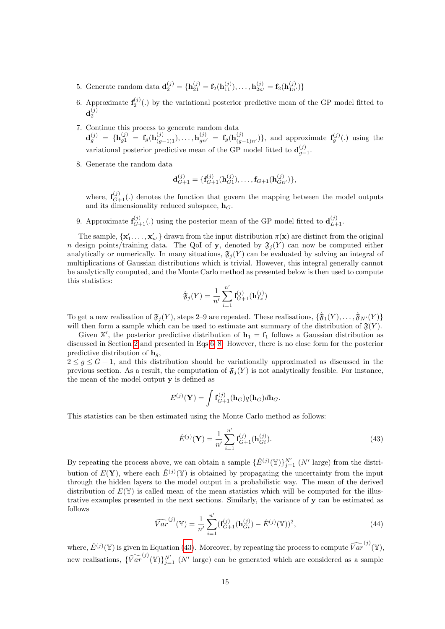- 5. Generate random data  $\mathbf{d}_{2}^{(j)} = {\mathbf{h}_{21}^{(j)} = \mathbf{f}_{2}(\mathbf{h}_{11}^{(j)}), \dots, \mathbf{h}_{2n'}^{(j)} = \mathbf{f}_{2}(\mathbf{h}_{1n'}^{(j)})}$
- 6. Approximate  $f_2^{(j)}(.)$  by the variational posterior predictive mean of the GP model fitted to  $\mathbf{d}_{2}^{(j)}$
- 7. Continue this process to generate random data  $\mathbf{d}_g^{(j)} = \{ \mathbf{h}_{g1}^{(j)} = \mathbf{f}_g(\mathbf{h}_{(g-1)1}^{(j)}), \dots, \mathbf{h}_{gn'}^{(j)} = \mathbf{f}_g(\mathbf{h}_{(g-1)n'}^{(j)}) \},$  and approximate  $\mathbf{f}_g^{(j)}(.)$  using the variational posterior predictive mean of the GP model fitted to  $\mathbf{d}_{g-1}^{(j)}$ .
- 8. Generate the random data

$$
\mathbf{d}_{G+1}^{(j)} = \{ \mathbf{f}_{G+1}^{(j)}(\mathbf{h}_{G1}^{(j)}), \ldots, \mathbf{f}_{G+1}(\mathbf{h}_{Gn'}^{(j)}) \},
$$

where,  $f_{G+1}^{(j)}(.)$  denotes the function that govern the mapping between the model outputs and its dimensionality reduced subspace,  $h_G$ .

9. Approximate  $\mathbf{f}_{G+1}^{(j)}(.)$  using the posterior mean of the GP model fitted to  $\mathbf{d}_{L+1}^{(j)}$ .

The sample,  $\{x'_1, \ldots, x'_{n'}\}$  drawn from the input distribution  $\pi(\mathbf{x})$  are distinct from the original n design points/training data. The QoI of y, denoted by  $\mathfrak{F}_j(Y)$  can now be computed either analytically or numerically. In many situations,  $\mathfrak{F}_j(Y)$  can be evaluated by solving an integral of multiplications of Gaussian distributions which is trivial. However, this integral generally cannot be analytically computed, and the Monte Carlo method as presented below is then used to compute this statistics:

$$
\hat{\mathfrak{F}}_j(Y) = \frac{1}{n'} \sum_{i=1}^{n'} \mathbf{f}_{G+1}^{(j)}(\mathbf{h}_{Li}^{(j)})
$$

To get a new realisation of  $\mathfrak{F}_j(Y)$ , steps 2–9 are repeated. These realisations,  $\{\hat{\mathfrak{F}}_1(Y), \ldots, \hat{\mathfrak{F}}_{N'}(Y)\}$ will then form a sample which can be used to estimate ant summary of the distribution of  $\mathfrak{F}(Y)$ .

Given  $\mathbb{X}'$ , the posterior predictive distribution of  $\mathbf{h}_1 = \mathbf{f}_1$  follows a Gaussian distribution as discussed in Section [2](#page-2-0) and presented in Eqs[.6](#page-4-4)[–8.](#page-4-3) However, there is no close form for the posterior predictive distribution of  $\mathbf{h}_q$ ,

 $2 \leq g \leq G+1$ , and this distribution should be variationally approximated as discussed in the previous section. As a result, the computation of  $\mathfrak{F}_i(Y)$  is not analytically feasible. For instance, the mean of the model output  $y$  is defined as

$$
E^{(j)}(\mathbf{Y}) = \int \mathbf{f}_{G+1}^{(j)}(\mathbf{h}_G)q(\mathbf{h}_G)d\mathbf{h}_G.
$$

This statistics can be then estimated using the Monte Carlo method as follows:

<span id="page-14-0"></span>
$$
\hat{E}^{(j)}(\mathbf{Y}) = \frac{1}{n'} \sum_{i=1}^{n'} \mathbf{f}_{G+1}^{(j)}(\mathbf{h}_{Gi}^{(j)}).
$$
\n(43)

By repeating the process above, we can obtain a sample  $\{\hat{E}^{(j)}(\mathbb{Y})\}_{j=1}^{N'}$  (N' large) from the distribution of  $E(Y)$ , where each  $\hat{E}^{(j)}(Y)$  is obtained by propagating the uncertainty from the input through the hidden layers to the model output in a probabilistic way. The mean of the derived distribution of  $E(Y)$  is called mean of the mean statistics which will be computed for the illustrative examples presented in the next sections. Similarly, the variance of y can be estimated as follows

$$
\widehat{Var}^{(j)}(\mathbb{Y}) = \frac{1}{n'} \sum_{i=1}^{n'} (\mathbf{f}_{G+1}^{(j)}(\mathbf{h}_{Gi}^{(j)}) - \hat{E}^{(j)}(\mathbb{Y}))^2,
$$
\n(44)

where,  $\hat{E}^{(j)}(\mathbb{Y})$  is given in Equation [\(43\)](#page-14-0). Moreover, by repeating the process to compute  $\widehat{Var}^{(j)}(\mathbb{Y})$ , new realisations,  $\{\widehat{Var}^{(j)}(\mathbb{Y})\}_{j=1}^{N'}$  (N' large) can be generated which are considered as a sample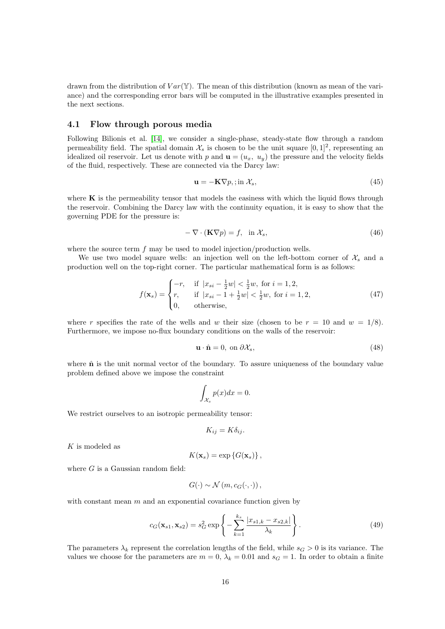drawn from the distribution of  $Var(\mathbb{Y})$ . The mean of this distribution (known as mean of the variance) and the corresponding error bars will be computed in the illustrative examples presented in the next sections.

#### 4.1 Flow through porous media

Following Bilionis et al. [\[14\]](#page-24-13), we consider a single-phase, steady-state flow through a random permeability field. The spatial domain  $\mathcal{X}_s$  is chosen to be the unit square  $[0,1]^2$ , representing an idealized oil reservoir. Let us denote with p and  $\mathbf{u} = (u_x, u_y)$  the pressure and the velocity fields of the fluid, respectively. These are connected via the Darcy law:

<span id="page-15-1"></span>
$$
\mathbf{u} = -\mathbf{K}\nabla p, \quad \text{in } \mathcal{X}_s,\tag{45}
$$

where  $\bf{K}$  is the permeability tensor that models the easiness with which the liquid flows through the reservoir. Combining the Darcy law with the continuity equation, it is easy to show that the governing PDE for the pressure is:

<span id="page-15-2"></span>
$$
-\nabla \cdot (\mathbf{K}\nabla p) = f, \quad \text{in } \mathcal{X}_s,\tag{46}
$$

where the source term  $f$  may be used to model injection/production wells.

We use two model square wells: an injection well on the left-bottom corner of  $\mathcal{X}_s$  and a production well on the top-right corner. The particular mathematical form is as follows:

$$
f(\mathbf{x}_s) = \begin{cases} -r, & \text{if } |x_{si} - \frac{1}{2}w| < \frac{1}{2}w, \text{ for } i = 1, 2, \\ r, & \text{if } |x_{si} - 1 + \frac{1}{2}w| < \frac{1}{2}w, \text{ for } i = 1, 2, \\ 0, & \text{otherwise,} \end{cases} \tag{47}
$$

where r specifies the rate of the wells and w their size (chosen to be  $r = 10$  and  $w = 1/8$ ). Furthermore, we impose no-flux boundary conditions on the walls of the reservoir:

<span id="page-15-3"></span>
$$
\mathbf{u} \cdot \hat{\mathbf{n}} = 0, \text{ on } \partial \mathcal{X}_s,\tag{48}
$$

where  $\hat{\mathbf{n}}$  is the unit normal vector of the boundary. To assure uniqueness of the boundary value problem defined above we impose the constraint

$$
\int_{\mathcal{X}_s} p(x)dx = 0.
$$

We restrict ourselves to an isotropic permeability tensor:

$$
K_{ij} = K \delta_{ij}.
$$

K is modeled as

$$
K(\mathbf{x}_s) = \exp\left\{G(\mathbf{x}_s)\right\},\,
$$

where  $G$  is a Gaussian random field:

$$
G(\cdot) \sim \mathcal{N}(m, c_G(\cdot, \cdot)),
$$

with constant mean  $m$  and an exponential covariance function given by

<span id="page-15-0"></span>
$$
c_G(\mathbf{x}_{s1}, \mathbf{x}_{s2}) = s_G^2 \exp\left\{-\sum_{k=1}^{k_s} \frac{|x_{s1,k} - x_{s2,k}|}{\lambda_k}\right\}.
$$
 (49)

The parameters  $\lambda_k$  represent the correlation lengths of the field, while  $s_G > 0$  is its variance. The values we choose for the parameters are  $m = 0$ ,  $\lambda_k = 0.01$  and  $s_G = 1$ . In order to obtain a finite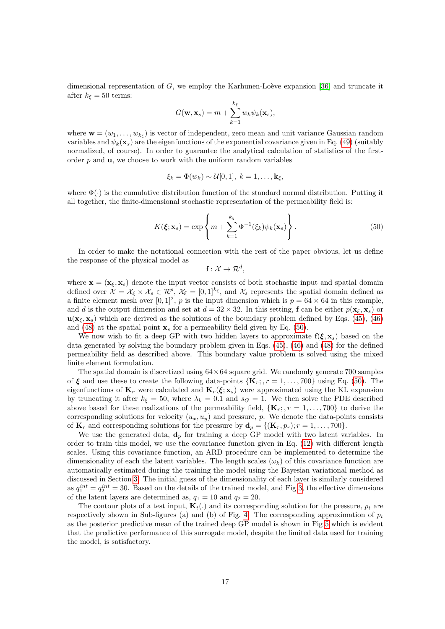dimensional representation of  $G$ , we employ the Karhunen-Loève expansion [\[36\]](#page-26-0) and truncate it after  $k_{\xi} = 50$  terms:

$$
G(\mathbf{w}, \mathbf{x}_s) = m + \sum_{k=1}^{k_{\xi}} w_k \psi_k(\mathbf{x}_s),
$$

where  $\mathbf{w} = (w_1, \ldots, w_{k_{\xi}})$  is vector of independent, zero mean and unit variance Gaussian random variables and  $\psi_k(\mathbf{x}_s)$  are the eigenfunctions of the exponential covariance given in Eq. [\(49\)](#page-15-0) (suitably normalized, of course). In order to guarantee the analytical calculation of statistics of the firstorder  $p$  and  $\mathbf{u}$ , we choose to work with the uniform random variables

$$
\xi_k = \Phi(w_k) \sim \mathcal{U}[0,1], \ k = 1,\ldots,\mathbf{k}_{\xi},
$$

where  $\Phi(\cdot)$  is the cumulative distribution function of the standard normal distribution. Putting it all together, the finite-dimensional stochastic representation of the permeability field is:

<span id="page-16-0"></span>
$$
K(\boldsymbol{\xi}; \mathbf{x}_s) = \exp\left\{ m + \sum_{k=1}^{k_{\xi}} \Phi^{-1}(\xi_k) \psi_k(\mathbf{x}_s) \right\}.
$$
 (50)

In order to make the notational connection with the rest of the paper obvious, let us define the response of the physical model as

 $\mathbf{f}:\mathcal{X}\rightarrow\mathcal{R}^{d},$ 

where  $\mathbf{x} = (\mathbf{x}_{\xi}, \mathbf{x}_{s})$  denote the input vector consists of both stochastic input and spatial domain defined over  $\mathcal{X} = \mathcal{X}_{\xi} \times \mathcal{X}_{s} \in \mathcal{R}^{p}, \mathcal{X}_{\xi} = [0,1]^{k_{\xi}},$  and  $\mathcal{X}_{s}$  represents the spatial domain defined as a finite element mesh over  $[0, 1]^2$ , p is the input dimension which is  $p = 64 \times 64$  in this example, and d is the output dimension and set at  $d = 32 \times 32$ . In this setting, f can be either  $p(\mathbf{x}_{\xi}, \mathbf{x}_{s})$  or  $\mathbf{u}(\mathbf{x}_{\xi}, \mathbf{x}_{s})$  which are derived as the solutions of the boundary problem defined by Eqs. [\(45\)](#page-15-1), [\(46\)](#page-15-2) and [\(48\)](#page-15-3) at the spatial point  $x_s$  for a permeability field given by Eq. [\(50\)](#page-16-0).

We now wish to fit a deep GP with two hidden layers to approximate  $f(\xi, x_s)$  based on the data generated by solving the boundary problem given in Eqs. [\(45\)](#page-15-1), [\(46\)](#page-15-2) and [\(48\)](#page-15-3) for the defined permeability field as described above. This boundary value problem is solved using the mixed finite element formulation.

The spatial domain is discretized using  $64 \times 64$  square grid. We randomly generate 700 samples of  $\xi$  and use these to create the following data-points  $\{K_r, r = 1, \ldots, 700\}$  using Eq. [\(50\)](#page-16-0). The eigenfunctions of  $\mathbf{K}_r$  were calculated and  $\mathbf{K}_r(\boldsymbol{\xi}; \mathbf{x}_s)$  were approximated using the KL expansion by truncating it after  $k_{\xi} = 50$ , where  $\lambda_k = 0.1$  and  $s_G = 1$ . We then solve the PDE described above based for these realizations of the permeability field,  ${K_r; r = 1, ..., 700}$  to derive the corresponding solutions for velocity  $(u_x, u_y)$  and pressure, p. We denote the data-points consists of  $\mathbf{K}_r$  and corresponding solutions for the pressure by  $\mathbf{d}_p = \{(\mathbf{K}_r, p_r); r = 1, \ldots, 700\}.$ 

We use the generated data,  $\mathbf{d}_p$  for training a deep GP model with two latent variables. In order to train this model, we use the covariance function given in Eq. [\(12\)](#page-5-0) with different length scales. Using this covariance function, an ARD procedure can be implemented to determine the dimensionality of each the latent variables. The length scales  $(\omega_k)$  of this covariance function are automatically estimated during the training the model using the Bayesian variational method as discussed in Section [3.](#page-4-0) The initial guess of the dimensionality of each layer is similarly considered as  $q_1^{int} = q_2^{int} = 30$ . Based on the details of the trained model, and Fig [3,](#page-17-0) the effective dimensions of the latent layers are determined as,  $q_1 = 10$  and  $q_2 = 20$ .

The contour plots of a test input,  $\mathbf{K}_t(.)$  and its corresponding solution for the pressure,  $p_t$  are respectively shown in Sub-figures (a) and (b) of Fig. [4.](#page-17-1) The corresponding approximation of  $p_t$ as the posterior predictive mean of the trained deep GP model is shown in Fig [5](#page-18-0) which is evident that the predictive performance of this surrogate model, despite the limited data used for training the model, is satisfactory.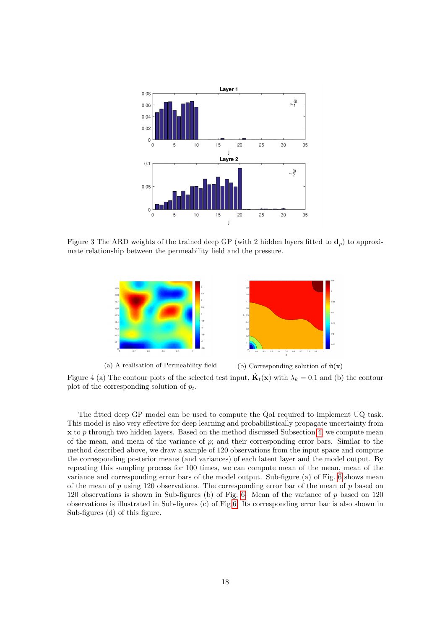<span id="page-17-0"></span>

<span id="page-17-1"></span>Figure 3 The ARD weights of the trained deep GP (with 2 hidden layers fitted to  $\mathbf{d}_p$ ) to approximate relationship between the permeability field and the pressure.



(a) A realisation of Permeability field (b) Corresponding solution of  $\tilde{\mathbf{u}}(\mathbf{x})$ Figure 4 (a) The contour plots of the selected test input,  $\tilde{\mathbf{K}}_t(\mathbf{x})$  with  $\lambda_k = 0.1$  and (b) the contour plot of the corresponding solution of  $p_t$ .

The fitted deep GP model can be used to compute the QoI required to implement UQ task. This model is also very effective for deep learning and probabilistically propagate uncertainty from  $x$  to p through two hidden layers. Based on the method discussed Subsection [4,](#page-13-0) we compute mean of the mean, and mean of the variance of  $p$ ; and their corresponding error bars. Similar to the method described above, we draw a sample of 120 observations from the input space and compute the corresponding posterior means (and variances) of each latent layer and the model output. By repeating this sampling process for 100 times, we can compute mean of the mean, mean of the variance and corresponding error bars of the model output. Sub-figure (a) of Fig. [6](#page-18-1) shows mean of the mean of  $p$  using 120 observations. The corresponding error bar of the mean of  $p$  based on 120 observations is shown in Sub-figures (b) of Fig. [6.](#page-18-1) Mean of the variance of p based on 120 observations is illustrated in Sub-figures (c) of Fig[.6.](#page-18-1) Its corresponding error bar is also shown in Sub-figures (d) of this figure.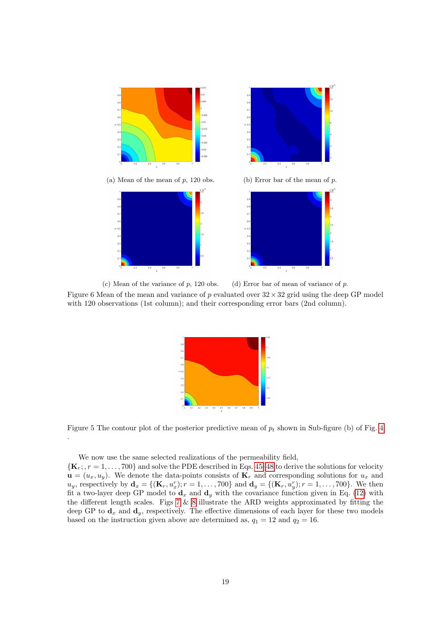<span id="page-18-1"></span>

<span id="page-18-0"></span>(c) Mean of the variance of  $p$ , 120 obs. (d) Error bar of mean of variance of  $p$ . Figure 6 Mean of the mean and variance of p evaluated over  $32 \times 32$  grid using the deep GP model with 120 observations (1st column); and their corresponding error bars (2nd column).



Figure 5 The contour plot of the posterior predictive mean of  $p_t$  shown in Sub-figure (b) of Fig. [4](#page-17-1)

We now use the same selected realizations of the permeability field,

.

 ${K_r; r = 1, ..., 700}$  and solve the PDE described in Eqs. [45](#page-15-1)[–48](#page-15-3) to derive the solutions for velocity  $\mathbf{u} = (u_x, u_y)$ . We denote the data-points consists of  $\mathbf{K}_r$  and corresponding solutions for  $u_x$  and  $u_y$ , respectively by  $\mathbf{d}_x = \{(\mathbf{K}_r, u_x^r); r = 1, ..., 700\}$  and  $\mathbf{d}_y = \{(\mathbf{K}_r, u_y^r); r = 1, ..., 700\}$ . We then fit a two-layer deep GP model to  $\mathbf{d}_x$  and  $\mathbf{d}_y$  with the covariance function given in Eq. [\(12\)](#page-5-0) with the different length scales. Figs  $7 \& 8$  $7 \& 8$  illustrate the ARD weights approximated by fitting the deep GP to  $\mathbf{d}_x$  and  $\mathbf{d}_y$ , respectively. The effective dimensions of each layer for these two models based on the instruction given above are determined as,  $q_1 = 12$  and  $q_2 = 16$ .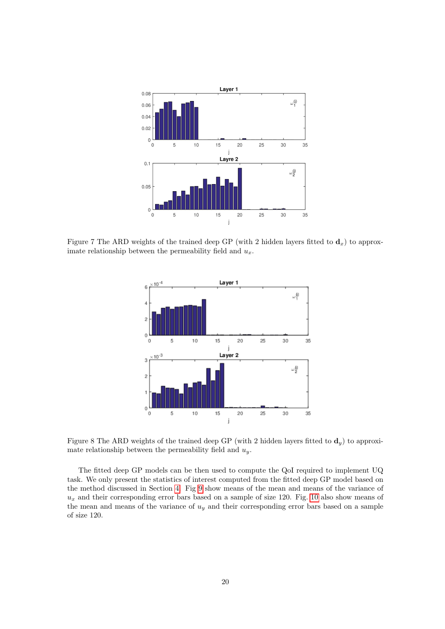<span id="page-19-0"></span>

<span id="page-19-1"></span>Figure 7 The ARD weights of the trained deep GP (with 2 hidden layers fitted to  $\mathbf{d}_x$ ) to approximate relationship between the permeability field and  $u_x$ .



Figure 8 The ARD weights of the trained deep GP (with 2 hidden layers fitted to  $\mathbf{d}_y$ ) to approximate relationship between the permeability field and  $u_y$ .

The fitted deep GP models can be then used to compute the QoI required to implement UQ task. We only present the statistics of interest computed from the fitted deep GP model based on the method discussed in Section [4.](#page-13-0) Fig [9](#page-20-0) show means of the mean and means of the variance of  $u_x$  and their corresponding error bars based on a sample of size 120. Fig. [10](#page-20-1) also show means of the mean and means of the variance of  $u_y$  and their corresponding error bars based on a sample of size 120.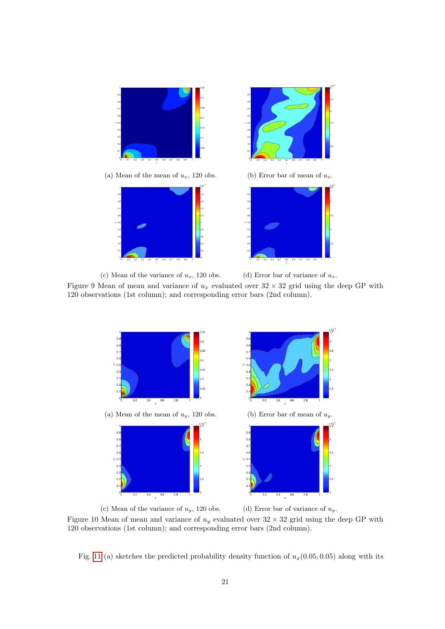<span id="page-20-0"></span>

(a) Mean of the mean of  $u_x$ , 120 obs. (b) Error bar of mean of  $u_x$ .







(c) Mean of the variance of  $u_x$ , 120 obs. (d) Error bar of variance of  $u_x$ .

Figure 9 Mean of mean and variance of  $u_x$  evaluated over  $32 \times 32$  grid using the deep GP with 120 observations (1st column); and corresponding error bars (2nd column).

<span id="page-20-1"></span>

Figure 10 Mean of mean and variance of  $u_y$  evaluated over  $32 \times 32$  grid using the deep GP with 120 observations (1st column); and corresponding error bars (2nd column).

Fig. [11](#page-21-1) (a) sketches the predicted probability density function of  $u_x(0.05, 0.05)$  along with its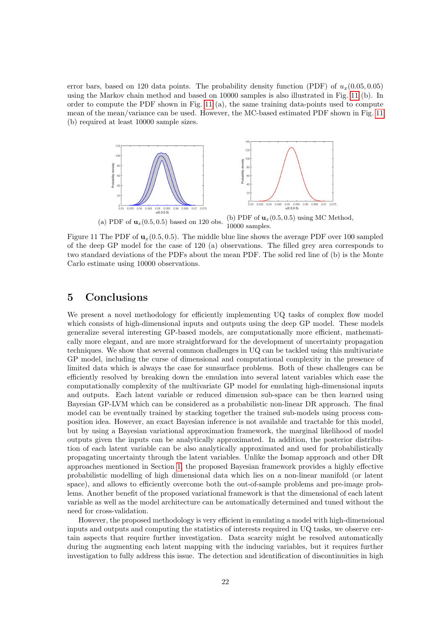error bars, based on 120 data points. The probability density function (PDF) of  $u_x(0.05, 0.05)$ using the Markov chain method and based on 10000 samples is also illustrated in Fig. [11](#page-21-1) (b). In order to compute the PDF shown in Fig. [11](#page-21-1) (a), the same training data-points used to compute mean of the mean/variance can be used. However, the MC-based estimated PDF shown in Fig. [11](#page-21-1) (b) required at least 10000 sample sizes.

<span id="page-21-1"></span>

(a) PDF of  $\mathbf{u}_x(0.5, 0.5)$  based on 120 obs. (b) PDF of  $\mathbf{u}_x(0.5, 0.5)$  using MC Method,

Figure 11 The PDF of  $\mathbf{u}_r(0.5, 0.5)$ . The middle blue line shows the average PDF over 100 sampled of the deep GP model for the case of 120 (a) observations. The filled grey area corresponds to two standard deviations of the PDFs about the mean PDF. The solid red line of (b) is the Monte Carlo estimate using 10000 observations.

### <span id="page-21-0"></span>5 Conclusions

We present a novel methodology for efficiently implementing UQ tasks of complex flow model which consists of high-dimensional inputs and outputs using the deep GP model. These models generalize several interesting GP-based models, are computationally more efficient, mathematically more elegant, and are more straightforward for the development of uncertainty propagation techniques. We show that several common challenges in UQ can be tackled using this multivariate GP model, including the curse of dimensional and computational complexity in the presence of limited data which is always the case for sunsurface problems. Both of these challenges can be efficiently resolved by breaking down the emulation into several latent variables which ease the computationally complexity of the multivariate GP model for emulating high-dimensional inputs and outputs. Each latent variable or reduced dimension sub-space can be then learned using Bayesian GP-LVM which can be considered as a probabilistic non-linear DR approach. The final model can be eventually trained by stacking together the trained sub-models using process composition idea. However, an exact Bayesian inference is not available and tractable for this model, but by using a Bayesian variational approximation framework, the marginal likelihood of model outputs given the inputs can be analytically approximated. In addition, the posterior distribution of each latent variable can be also analytically approximated and used for probabilistically propagating uncertainty through the latent variables. Unlike the Isomap approach and other DR approaches mentioned in Section [1,](#page-0-0) the proposed Bayesian framework provides a highly effective probabilistic modelling of high dimensional data which lies on a non-linear manifold (or latent space), and allows to efficiently overcome both the out-of-sample problems and pre-image problems. Another benefit of the proposed variational framework is that the dimensional of each latent variable as well as the model architecture can be automatically determined and tuned without the need for cross-validation.

However, the proposed methodology is very efficient in emulating a model with high-dimensional inputs and outputs and computing the statistics of interests required in UQ tasks, we observe certain aspects that require further investigation. Data scarcity might be resolved automatically during the augmenting each latent mapping with the inducing variables, but it requires further investigation to fully address this issue. The detection and identification of discontinuities in high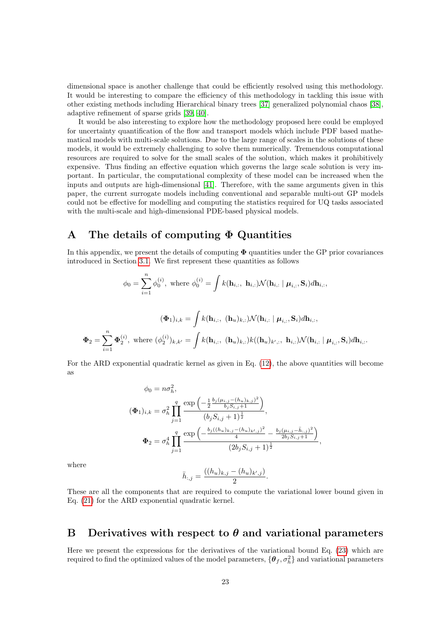dimensional space is another challenge that could be efficiently resolved using this methodology. It would be interesting to compare the efficiency of this methodology in tackling this issue with other existing methods including Hierarchical binary trees [\[37\]](#page-26-1) generalized polynomial chaos [\[38\]](#page-26-2), adaptive refinement of sparse grids [\[39,](#page-26-3) [40\]](#page-26-4).

It would be also interesting to explore how the methodology proposed here could be employed for uncertainty quantification of the flow and transport models which include PDF based mathematical models with multi-scale solutions. Due to the large range of scales in the solutions of these models, it would be extremely challenging to solve them numerically. Tremendous computational resources are required to solve for the small scales of the solution, which makes it prohibitively expensive. Thus finding an effective equation which governs the large scale solution is very important. In particular, the computational complexity of these model can be increased when the inputs and outputs are high-dimensional [\[41\]](#page-26-5). Therefore, with the same arguments given in this paper, the current surrogate models including conventional and separable multi-out GP models could not be effective for modelling and computing the statistics required for UQ tasks associated with the multi-scale and high-dimensional PDE-based physical models.

## <span id="page-22-1"></span>A The details of computing  $\Phi$  Quantities

In this appendix, we present the details of computing  $\Phi$  quantities under the GP prior covariances introduced in Section [3.1.](#page-4-2) We first represent these quantities as follows

$$
\phi_0 = \sum_{i=1}^n \phi_0^{(i)}, \text{ where } \phi_0^{(i)} = \int k(\mathbf{h}_{i,:}, \mathbf{h}_{i,:}) \mathcal{N}(\mathbf{h}_{i,:} | \boldsymbol{\mu}_{i,:}, \mathbf{S}_i) d\mathbf{h}_{i,:},
$$
  

$$
(\boldsymbol{\Phi}_1)_{i,k} = \int k(\mathbf{h}_{i,:}, (\mathbf{h}_u)_{k,:}) \mathcal{N}(\mathbf{h}_{i,:} | \boldsymbol{\mu}_{i,:}, \mathbf{S}_i) d\mathbf{h}_{i,:},
$$
  

$$
\boldsymbol{\Phi}_2 = \sum_{i=1}^n \boldsymbol{\Phi}_2^{(i)}, \text{ where } (\phi_2^{(i)})_{k,k'} = \int k(\mathbf{h}_{i,:}, (\mathbf{h}_u)_{k,:}) k((\mathbf{h}_u)_{k',:}, \mathbf{h}_{i,:}) \mathcal{N}(\mathbf{h}_{i,:} | \boldsymbol{\mu}_{i,:}, \mathbf{S}_i) d\mathbf{h}_{i,:}.
$$

For the ARD exponential quadratic kernel as given in Eq. [\(12\)](#page-5-0), the above quantities will become as

$$
\phi_0 = n\sigma_h^2,
$$
  
\n
$$
(\Phi_1)_{i,k} = \sigma_h^2 \prod_{j=1}^q \frac{\exp\left(-\frac{1}{2} \frac{b_j(\mu_{i,j} - (h_u)_{k,j})^2}{b_j S_{i,j} + 1}\right)}{(b_j S_{i,j} + 1)^{\frac{1}{2}}},
$$
  
\n
$$
\Phi_2 = \sigma_h^4 \prod_{j=1}^q \frac{\exp\left(-\frac{b_j((h_u)_{k,j} - (h_u)_{k',j})^2}{4} - \frac{b_j(\mu_{i,j} - \bar{h}_{i,j})^2}{2b_j S_{i,j} + 1}\right)}{(2b_j S_{i,j} + 1)^{\frac{1}{2}}},
$$

where

 $i=1$ 

$$
\bar{h}_{:,j} = \frac{((h_u)_{k,j} - (h_u)_{k',j})}{2}.
$$

These are all the components that are required to compute the variational lower bound given in Eq. [\(21\)](#page-6-3) for the ARD exponential quadratic kernel.

## <span id="page-22-0"></span>B Derivatives with respect to  $\theta$  and variational parameters

Here we present the expressions for the derivatives of the variational bound Eq. [\(23\)](#page-7-1) which are required to find the optimized values of the model parameters,  $\{\boldsymbol{\theta}_f, \sigma_h^2\}$  and variational parameters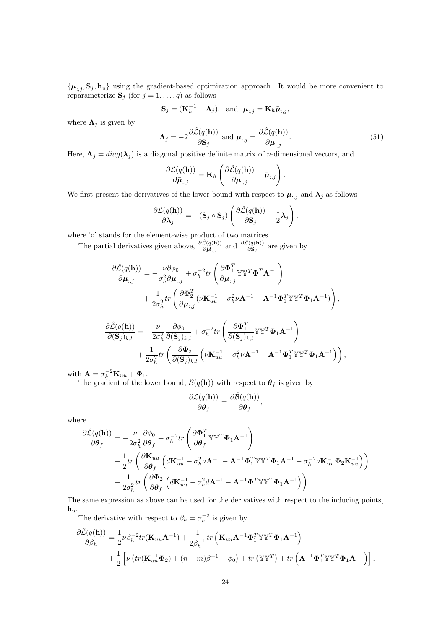$\{\boldsymbol{\mu}_{:,j}, \mathbf{S}_j, \mathbf{h}_u\}$  using the gradient-based optimization approach. It would be more convenient to reparameterize  $S_j$  (for  $j = 1, \ldots, q$ ) as follows

$$
\mathbf{S}_{j}=(\mathbf{K}_{h}^{-1}+\mathbf{\Lambda}_{j}),\text{ and }\boldsymbol{\mu}_{:,j}=\mathbf{K}_{h}\bar{\boldsymbol{\mu}}_{:,j},
$$

where  $\Lambda_j$  is given by

$$
\mathbf{\Lambda}_{j} = -2 \frac{\partial \hat{\mathcal{L}}(q(\mathbf{h}))}{\partial \mathbf{S}_{j}} \text{ and } \bar{\boldsymbol{\mu}}_{:,j} = \frac{\partial \hat{\mathcal{L}}(q(\mathbf{h}))}{\partial \boldsymbol{\mu}_{:,j}}.
$$
(51)

Here,  $\Lambda_j = diag(\lambda_j)$  is a diagonal positive definite matrix of *n*-dimensional vectors, and

$$
\frac{\partial \mathcal{L}(q(\mathbf{h}))}{\partial \bar{\boldsymbol{\mu}}_{:,j}} = \mathbf{K}_h \left( \frac{\partial \hat{\mathcal{L}}(q(\mathbf{h}))}{\partial \boldsymbol{\mu}_{:,j}} - \bar{\boldsymbol{\mu}}_{:,j} \right).
$$

We first present the derivatives of the lower bound with respect to  $\mu_{:,j}$  and  $\lambda_j$  as follows

$$
\frac{\partial \mathcal{L}(q(\mathbf{h}))}{\partial \mathbf{\lambda}_j} = -(\mathbf{S}_j \circ \mathbf{S}_j) \left( \frac{\partial \hat{\mathcal{L}}(q(\mathbf{h}))}{\partial \mathbf{S}_j} + \frac{1}{2} \mathbf{\lambda}_j \right),
$$

where '∘' stands for the element-wise product of two matrices.

The partial derivatives given above,  $\frac{\partial \hat{\mathcal{L}}(q(\mathbf{h}))}{\partial \mathbf{H}_{:,j}}$  and  $\frac{\partial \hat{\mathcal{L}}(q(\mathbf{h}))}{\partial \mathbf{S}_j}$  are given by

$$
\begin{split} \frac{\partial \hat{\mathcal{L}}(q(\mathbf{h}))}{\partial \boldsymbol{\mu}_{:,j}} & = -\frac{\nu \partial \phi_{0}}{\sigma_{h}^{2} \partial \boldsymbol{\mu}_{:,j}} + \sigma_{h}^{-2} tr \left( \frac{\partial \boldsymbol{\Phi}_{1}^{T}}{\partial \boldsymbol{\mu}_{:,j}} \mathbb{Y} \mathbb{Y}^{T} \boldsymbol{\Phi}_{1}^{T} \mathbf{A}^{-1} \right) \\ & + \frac{1}{2\sigma_{h}^{2}} tr \left( \frac{\partial \boldsymbol{\Phi}_{2}^{T}}{\partial \boldsymbol{\mu}_{:,j}} (\nu \mathbf{K}_{uu}^{-1} - \sigma_{h}^{2} \nu \mathbf{A}^{-1} - \mathbf{A}^{-1} \boldsymbol{\Phi}_{1}^{T} \mathbb{Y} \mathbb{Y}^{T} \boldsymbol{\Phi}_{1} \mathbf{A}^{-1}) \right), \\ \frac{\partial \hat{\mathcal{L}}(q(\mathbf{h}))}{\partial (\mathbf{S}_{j})_{k,l}} & = -\frac{\nu}{2\sigma_{h}^{2}} \frac{\partial \phi_{0}}{\partial (\mathbf{S}_{j})_{k,l}} + \sigma_{h}^{-2} tr \left( \frac{\partial \boldsymbol{\Phi}_{1}^{T}}{\partial (\mathbf{S}_{j})_{k,l}} \mathbb{Y} \mathbb{Y}^{T} \boldsymbol{\Phi}_{1} \mathbf{A}^{-1} \right) \\ & + \frac{1}{2\sigma_{h}^{2}} tr \left( \frac{\partial \boldsymbol{\Phi}_{2}}{\partial (\mathbf{S}_{j})_{k,l}} \left( \nu \mathbf{K}_{uu}^{-1} - \sigma_{h}^{2} \nu \mathbf{A}^{-1} - \mathbf{A}^{-1} \boldsymbol{\Phi}_{1}^{T} \mathbb{Y} \mathbb{Y}^{T} \boldsymbol{\Phi}_{1} \mathbf{A}^{-1} \right) \right), \end{split}
$$

with  $\mathbf{A} = \sigma_h^{-2} \mathbf{K}_{uu} + \mathbf{\Phi}_1.$ 

The gradient of the lower bound,  $\mathcal{B}(q(\mathbf{h}))$  with respect to  $\boldsymbol{\theta}_f$  is given by

$$
\frac{\partial \mathcal{L}(q(\mathbf{h}))}{\partial \boldsymbol{\theta}_f} = \frac{\partial \hat{\mathcal{B}}(q(\mathbf{h}))}{\partial \boldsymbol{\theta}_f},
$$

where

$$
\begin{split} \frac{\partial \mathcal{\hat{L}}(q(\mathbf{h}))}{\partial \boldsymbol{\theta}_{f}} & = -\frac{\nu}{2\sigma_{h}^{2}} \frac{\partial \phi_{0}}{\partial \boldsymbol{\theta}_{f}} + \sigma_{h}^{-2} tr \left( \frac{\partial \boldsymbol{\Phi}_{1}^{T}}{\partial \boldsymbol{\theta}_{f}} \mathbb{Y} \mathbb{Y}^{T} \boldsymbol{\Phi}_{1} \mathbf{A}^{-1} \right) \\ & + \frac{1}{2} tr \left( \frac{\partial \mathbf{K}_{uu}}{\partial \boldsymbol{\theta}_{f}} \left( d\mathbf{K}_{uu}^{-1} - \sigma_{h}^{2} \nu \mathbf{A}^{-1} - \mathbf{A}^{-1} \boldsymbol{\Phi}_{1}^{T} \mathbb{Y} \mathbb{Y}^{T} \boldsymbol{\Phi}_{1} \mathbf{A}^{-1} - \sigma_{h}^{-2} \nu \mathbf{K}_{uu}^{-1} \boldsymbol{\Phi}_{2} \mathbf{K}_{uu}^{-1} \right) \right) \\ & + \frac{1}{2\sigma_{h}^{2}} tr \left( \frac{\partial \boldsymbol{\Phi}_{2}}{\partial \boldsymbol{\theta}_{f}} \left( d\mathbf{K}_{uu}^{-1} - \sigma_{h}^{2} d\mathbf{A}^{-1} - \mathbf{A}^{-1} \boldsymbol{\Phi}_{1}^{T} \mathbb{Y} \mathbb{Y}^{T} \boldsymbol{\Phi}_{1} \mathbf{A}^{-1} \right) \right). \end{split}
$$

The same expression as above can be used for the derivatives with respect to the inducing points,  $\mathbf{h}_u$ .

The derivative with respect to  $\beta_h = \sigma_h^{-2}$  is given by

$$
\frac{\partial \hat{\mathcal{L}}(q(\mathbf{h}))}{\partial \beta_h} = \frac{1}{2} \nu \beta_h^{-2} tr(\mathbf{K}_{uu} \mathbf{A}^{-1}) + \frac{1}{2\beta_h^{-1}} tr\left(\mathbf{K}_{uu} \mathbf{A}^{-1} \mathbf{\Phi}_1^T \mathbb{Y} \mathbb{Y}^T \mathbf{\Phi}_1 \mathbf{A}^{-1}\right) + \frac{1}{2} \left[ \nu \left( tr(\mathbf{K}_{uu}^{-1} \mathbf{\Phi}_2) + (n-m)\beta^{-1} - \phi_0 \right) + tr\left(\mathbb{Y} \mathbb{Y}^T\right) + tr\left(\mathbf{A}^{-1} \mathbf{\Phi}_1^T \mathbb{Y} \mathbb{Y}^T \mathbf{\Phi}_1 \mathbf{A}^{-1} \right) \right].
$$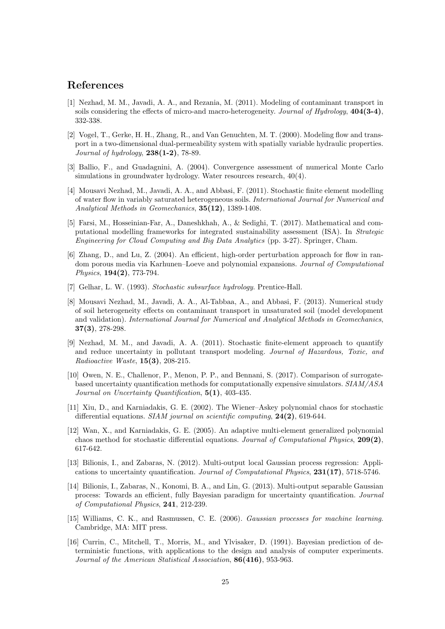## References

- <span id="page-24-0"></span>[1] Nezhad, M. M., Javadi, A. A., and Rezania, M. (2011). Modeling of contaminant transport in soils considering the effects of micro-and macro-heterogeneity. Journal of Hydrology, 404(3-4), 332-338.
- <span id="page-24-1"></span>[2] Vogel, T., Gerke, H. H., Zhang, R., and Van Genuchten, M. T. (2000). Modeling flow and transport in a two-dimensional dual-permeability system with spatially variable hydraulic properties. Journal of hydrology, 238(1-2), 78-89.
- <span id="page-24-2"></span>[3] Ballio, F., and Guadagnini, A. (2004). Convergence assessment of numerical Monte Carlo simulations in groundwater hydrology. Water resources research,  $40(4)$ .
- <span id="page-24-3"></span>[4] Mousavi Nezhad, M., Javadi, A. A., and Abbasi, F. (2011). Stochastic finite element modelling of water flow in variably saturated heterogeneous soils. International Journal for Numerical and Analytical Methods in Geomechanics, 35(12), 1389-1408.
- <span id="page-24-4"></span>[5] Farsi, M., Hosseinian-Far, A., Daneshkhah, A., & Sedighi, T. (2017). Mathematical and computational modelling frameworks for integrated sustainability assessment (ISA). In Strategic Engineering for Cloud Computing and Big Data Analytics (pp. 3-27). Springer, Cham.
- <span id="page-24-5"></span>[6] Zhang, D., and Lu, Z. (2004). An efficient, high-order perturbation approach for flow in random porous media via Karhunen–Loeve and polynomial expansions. Journal of Computational Physics, **194(2)**, 773-794.
- <span id="page-24-6"></span>[7] Gelhar, L. W. (1993). Stochastic subsurface hydrology. Prentice-Hall.
- <span id="page-24-7"></span>[8] Mousavi Nezhad, M., Javadi, A. A., Al-Tabbaa, A., and Abbasi, F. (2013). Numerical study of soil heterogeneity effects on contaminant transport in unsaturated soil (model development and validation). International Journal for Numerical and Analytical Methods in Geomechanics, 37(3), 278-298.
- <span id="page-24-8"></span>[9] Nezhad, M. M., and Javadi, A. A. (2011). Stochastic finite-element approach to quantify and reduce uncertainty in pollutant transport modeling. Journal of Hazardous, Toxic, and Radioactive Waste, 15(3), 208-215.
- <span id="page-24-9"></span>[10] Owen, N. E., Challenor, P., Menon, P. P., and Bennani, S. (2017). Comparison of surrogatebased uncertainty quantification methods for computationally expensive simulators. SIAM/ASA Journal on Uncertainty Quantification,  $5(1)$ , 403-435.
- <span id="page-24-10"></span>[11] Xiu, D., and Karniadakis, G. E. (2002). The Wiener–Askey polynomial chaos for stochastic differential equations. SIAM journal on scientific computing,  $24(2)$ , 619-644.
- <span id="page-24-11"></span>[12] Wan, X., and Karniadakis, G. E. (2005). An adaptive multi-element generalized polynomial chaos method for stochastic differential equations. Journal of Computational Physics, 209(2), 617-642.
- <span id="page-24-12"></span>[13] Bilionis, I., and Zabaras, N. (2012). Multi-output local Gaussian process regression: Applications to uncertainty quantification. Journal of Computational Physics, 231(17), 5718-5746.
- <span id="page-24-13"></span>[14] Bilionis, I., Zabaras, N., Konomi, B. A., and Lin, G. (2013). Multi-output separable Gaussian process: Towards an efficient, fully Bayesian paradigm for uncertainty quantification. Journal of Computational Physics, 241, 212-239.
- <span id="page-24-14"></span>[15] Williams, C. K., and Rasmussen, C. E. (2006). Gaussian processes for machine learning. Cambridge, MA: MIT press.
- <span id="page-24-15"></span>[16] Currin, C., Mitchell, T., Morris, M., and Ylvisaker, D. (1991). Bayesian prediction of deterministic functions, with applications to the design and analysis of computer experiments. Journal of the American Statistical Association, 86(416), 953-963.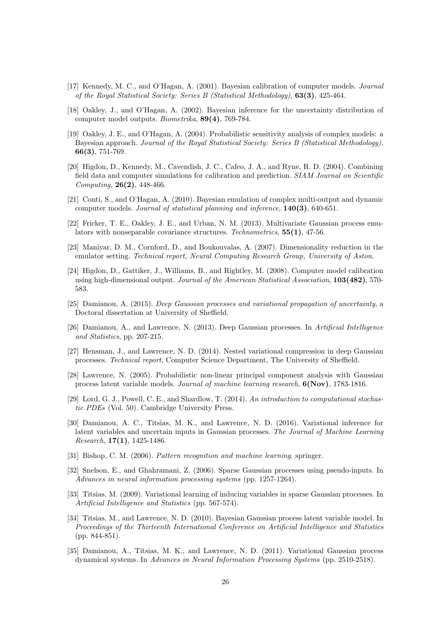- <span id="page-25-0"></span>[17] Kennedy, M. C., and O'Hagan, A. (2001). Bayesian calibration of computer models. Journal of the Royal Statistical Society: Series B (Statistical Methodology), 63(3), 425-464.
- <span id="page-25-1"></span>[18] Oakley, J., and O'Hagan, A. (2002). Bayesian inference for the uncertainty distribution of computer model outputs. Biometrika, 89(4), 769-784.
- <span id="page-25-2"></span>[19] Oakley, J. E., and O'Hagan, A. (2004). Probabilistic sensitivity analysis of complex models: a Bayesian approach. Journal of the Royal Statistical Society: Series B (Statistical Methodology), 66(3), 751-769.
- <span id="page-25-3"></span>[20] Higdon, D., Kennedy, M., Cavendish, J. C., Cafeo, J. A., and Ryne, R. D. (2004). Combining field data and computer simulations for calibration and prediction. SIAM Journal on Scientific Computing, 26(2), 448-466.
- <span id="page-25-4"></span>[21] Conti, S., and O'Hagan, A. (2010). Bayesian emulation of complex multi-output and dynamic computer models. Journal of statistical planning and inference, 140(3), 640-651.
- <span id="page-25-5"></span>[22] Fricker, T. E., Oakley, J. E., and Urban, N. M. (2013). Multivariate Gaussian process emulators with nonseparable covariance structures. Technometrics,  $55(1)$ , 47-56.
- <span id="page-25-6"></span>[23] Maniyar, D. M., Cornford, D., and Boukouvalas, A. (2007). Dimensionality reduction in the emulator setting. Technical report, Neural Computing Research Group, University of Aston.
- <span id="page-25-7"></span>[24] Higdon, D., Gattiker, J., Williams, B., and Rightley, M. (2008). Computer model calibration using high-dimensional output. Journal of the American Statistical Association, 103(482), 570- 583.
- <span id="page-25-8"></span>[25] Damianou, A. (2015). Deep Gaussian processes and variational propagation of uncertainty, a Doctoral dissertation at University of Sheffield.
- <span id="page-25-9"></span>[26] Damianou, A., and Lawrence, N. (2013). Deep Gaussian processes. In Artificial Intelligence and Statistics, pp. 207-215.
- <span id="page-25-10"></span>[27] Hensman, J., and Lawrence, N. D. (2014). Nested variational compression in deep Gaussian processes. Technical report, Computer Science Department, The University of Sheffield.
- <span id="page-25-11"></span>[28] Lawrence, N. (2005). Probabilistic non-linear principal component analysis with Gaussian process latent variable models. Journal of machine learning research, 6(Nov), 1783-1816.
- <span id="page-25-12"></span>[29] Lord, G. J., Powell, C. E., and Shardlow, T. (2014). An introduction to computational stochastic PDEs (Vol. 50). Cambridge University Press.
- <span id="page-25-13"></span>[30] Damianou, A. C., Titsias, M. K., and Lawrence, N. D. (2016). Variational inference for latent variables and uncertain inputs in Gaussian processes. The Journal of Machine Learning Research,  $17(1)$ , 1425-1486.
- <span id="page-25-14"></span>[31] Bishop, C. M. (2006). Pattern recognition and machine learning. springer.
- <span id="page-25-15"></span>[32] Snelson, E., and Ghahramani, Z. (2006). Sparse Gaussian processes using pseudo-inputs. In Advances in neural information processing systems (pp. 1257-1264).
- <span id="page-25-16"></span>[33] Titsias, M. (2009). Variational learning of inducing variables in sparse Gaussian processes. In Artificial Intelligence and Statistics (pp. 567-574).
- <span id="page-25-17"></span>[34] Titsias, M., and Lawrence, N. D. (2010). Bayesian Gaussian process latent variable model. In Proceedings of the Thirteenth International Conference on Artificial Intelligence and Statistics (pp. 844-851).
- <span id="page-25-18"></span>[35] Damianou, A., Titsias, M. K., and Lawrence, N. D. (2011). Variational Gaussian process dynamical systems. In Advances in Neural Information Processing Systems (pp. 2510-2518).